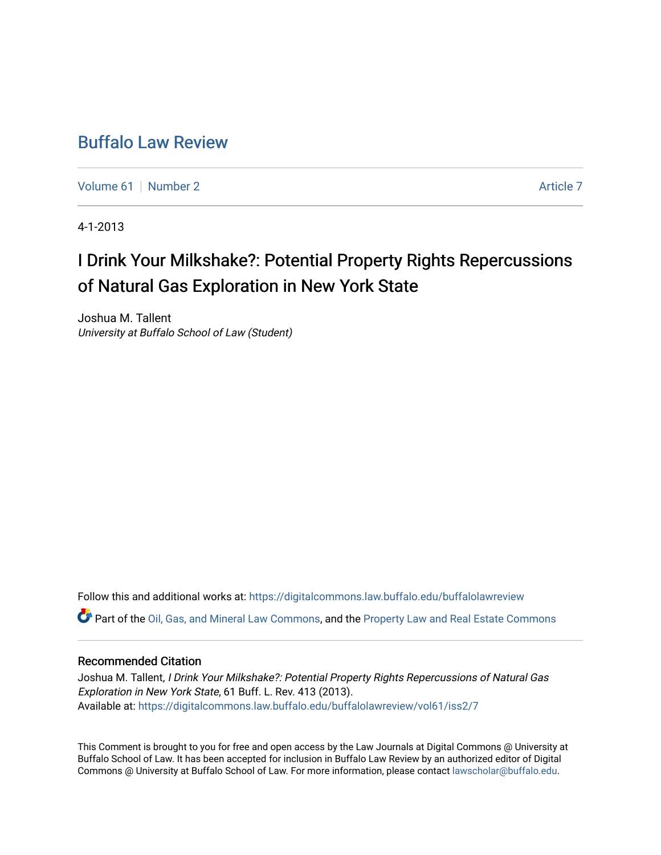# [Buffalo Law Review](https://digitalcommons.law.buffalo.edu/buffalolawreview)

[Volume 61](https://digitalcommons.law.buffalo.edu/buffalolawreview/vol61) | [Number 2](https://digitalcommons.law.buffalo.edu/buffalolawreview/vol61/iss2) [Article 7](https://digitalcommons.law.buffalo.edu/buffalolawreview/vol61/iss2/7) Article 7 Article 7 Article 7 Article 7 Article 7 Article 7 Article 7 Article 7

4-1-2013

# I Drink Your Milkshake?: Potential Property Rights Repercussions of Natural Gas Exploration in New York State

Joshua M. Tallent University at Buffalo School of Law (Student)

Follow this and additional works at: [https://digitalcommons.law.buffalo.edu/buffalolawreview](https://digitalcommons.law.buffalo.edu/buffalolawreview?utm_source=digitalcommons.law.buffalo.edu%2Fbuffalolawreview%2Fvol61%2Fiss2%2F7&utm_medium=PDF&utm_campaign=PDFCoverPages)  Part of the [Oil, Gas, and Mineral Law Commons,](http://network.bepress.com/hgg/discipline/864?utm_source=digitalcommons.law.buffalo.edu%2Fbuffalolawreview%2Fvol61%2Fiss2%2F7&utm_medium=PDF&utm_campaign=PDFCoverPages) and the [Property Law and Real Estate Commons](http://network.bepress.com/hgg/discipline/897?utm_source=digitalcommons.law.buffalo.edu%2Fbuffalolawreview%2Fvol61%2Fiss2%2F7&utm_medium=PDF&utm_campaign=PDFCoverPages) 

## Recommended Citation

Joshua M. Tallent, I Drink Your Milkshake?: Potential Property Rights Repercussions of Natural Gas Exploration in New York State, 61 Buff. L. Rev. 413 (2013). Available at: [https://digitalcommons.law.buffalo.edu/buffalolawreview/vol61/iss2/7](https://digitalcommons.law.buffalo.edu/buffalolawreview/vol61/iss2/7?utm_source=digitalcommons.law.buffalo.edu%2Fbuffalolawreview%2Fvol61%2Fiss2%2F7&utm_medium=PDF&utm_campaign=PDFCoverPages) 

This Comment is brought to you for free and open access by the Law Journals at Digital Commons @ University at Buffalo School of Law. It has been accepted for inclusion in Buffalo Law Review by an authorized editor of Digital Commons @ University at Buffalo School of Law. For more information, please contact [lawscholar@buffalo.edu](mailto:lawscholar@buffalo.edu).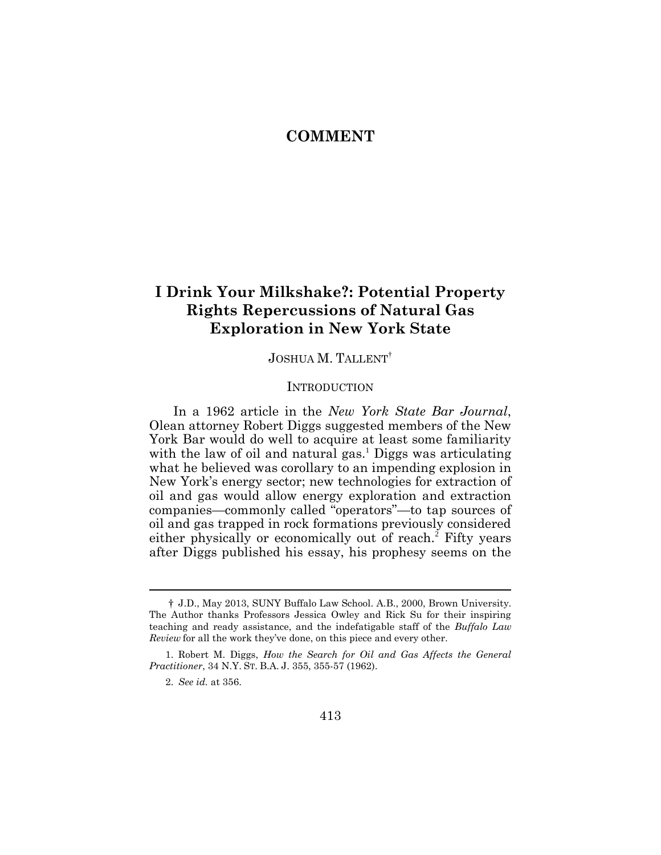# **COMMENT**

# **I Drink Your Milkshake?: Potential Property Rights Repercussions of Natural Gas Exploration in New York State**

# JOSHUA M. TALLENT†

#### **INTRODUCTION**

In a 1962 article in the *New York State Bar Journal*, Olean attorney Robert Diggs suggested members of the New York Bar would do well to acquire at least some familiarity with the law of oil and natural gas.<sup>1</sup> Diggs was articulating what he believed was corollary to an impending explosion in New York's energy sector; new technologies for extraction of oil and gas would allow energy exploration and extraction companies—commonly called "operators"—to tap sources of oil and gas trapped in rock formations previously considered either physically or economically out of reach.<sup>2</sup> Fifty years after Diggs published his essay, his prophesy seems on the

 $\overline{a}$ 

<sup>†</sup> J.D., May 2013, SUNY Buffalo Law School. A.B., 2000, Brown University. The Author thanks Professors Jessica Owley and Rick Su for their inspiring teaching and ready assistance, and the indefatigable staff of the *Buffalo Law Review* for all the work they've done, on this piece and every other.

<sup>1.</sup> Robert M. Diggs, *How the Search for Oil and Gas Affects the General Practitioner*, 34 N.Y. ST. B.A. J. 355, 355-57 (1962).

<sup>2.</sup> *See id.* at 356.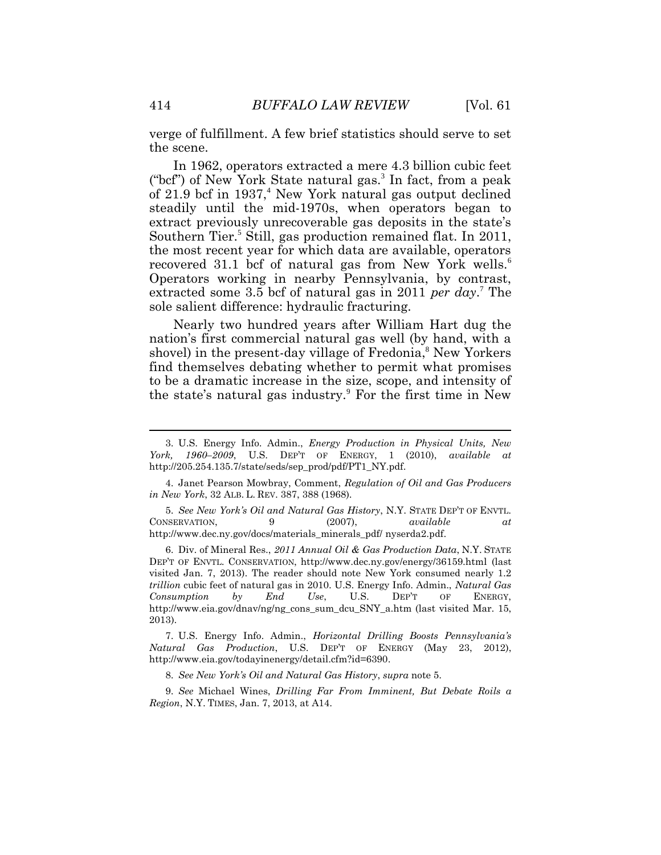verge of fulfillment. A few brief statistics should serve to set the scene.

In 1962, operators extracted a mere 4.3 billion cubic feet ("bcf") of New York State natural gas.<sup>3</sup> In fact, from a peak of 21.9 bcf in 1937,<sup>4</sup> New York natural gas output declined steadily until the mid-1970s, when operators began to extract previously unrecoverable gas deposits in the state's Southern Tier.<sup>5</sup> Still, gas production remained flat. In 2011, the most recent year for which data are available, operators recovered 31.1 bcf of natural gas from New York wells.<sup>6</sup> Operators working in nearby Pennsylvania, by contrast, extracted some 3.5 bcf of natural gas in 2011 *per day*. <sup>7</sup> The sole salient difference: hydraulic fracturing.

Nearly two hundred years after William Hart dug the nation's first commercial natural gas well (by hand, with a shovel) in the present-day village of Fredonia,<sup>8</sup> New Yorkers find themselves debating whether to permit what promises to be a dramatic increase in the size, scope, and intensity of the state's natural gas industry.<sup>9</sup> For the first time in New

5. *See New York's Oil and Natural Gas History*, N.Y. STATE DEP'T OF ENVTL. CONSERVATION, 9 (2007), *available at*  http://www.dec.ny.gov/docs/materials\_minerals\_pdf/ nyserda2.pdf.

6. Div. of Mineral Res., *2011 Annual Oil & Gas Production Data*, N.Y. STATE DEP'T OF ENVTL. CONSERVATION, http://www.dec.ny.gov/energy/36159.html (last visited Jan. 7, 2013). The reader should note New York consumed nearly 1.2 *trillion* cubic feet of natural gas in 2010. U.S. Energy Info. Admin., *Natural Gas Consumption by End Use*, U.S. DEP'T OF ENERGY, http://www.eia.gov/dnav/ng/ng\_cons\_sum\_dcu\_SNY\_a.htm (last visited Mar. 15, 2013).

7. U.S. Energy Info. Admin., *Horizontal Drilling Boosts Pennsylvania's Natural Gas Production*, U.S. DEP'T OF ENERGY (May 23, 2012), http://www.eia.gov/todayinenergy/detail.cfm?id=6390.

8. *See New York's Oil and Natural Gas History*, *supra* note 5.

9. *See* Michael Wines, *Drilling Far From Imminent, But Debate Roils a Region*, N.Y. TIMES, Jan. 7, 2013, at A14.

<sup>3.</sup> U.S. Energy Info. Admin., *Energy Production in Physical Units, New York, 1960–2009*, U.S. DEP'T OF ENERGY, 1 (2010), *available at*  http://205.254.135.7/state/seds/sep\_prod/pdf/PT1\_NY.pdf.

<sup>4.</sup> Janet Pearson Mowbray, Comment, *Regulation of Oil and Gas Producers in New York*, 32 ALB. L. REV. 387, 388 (1968).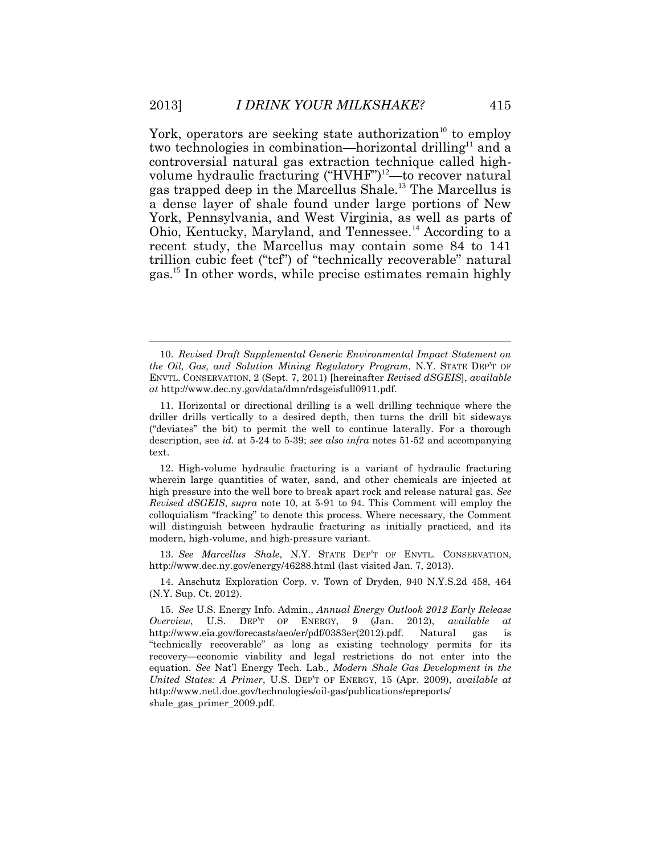York, operators are seeking state authorization<sup>10</sup> to employ two technologies in combination—horizontal drilling<sup>11</sup> and a controversial natural gas extraction technique called highvolume hydraulic fracturing ("HVHF")<sup>12</sup>—to recover natural gas trapped deep in the Marcellus Shale.<sup>13</sup> The Marcellus is a dense layer of shale found under large portions of New York, Pennsylvania, and West Virginia, as well as parts of Ohio, Kentucky, Maryland, and Tennessee.<sup>14</sup> According to a recent study, the Marcellus may contain some 84 to 141 trillion cubic feet ("tcf") of "technically recoverable" natural gas.<sup>15</sup> In other words, while precise estimates remain highly

13. *See Marcellus Shale*, N.Y. STATE DEP'T OF ENVTL. CONSERVATION, http://www.dec.ny.gov/energy/46288.html (last visited Jan. 7, 2013).

14. Anschutz Exploration Corp. v. Town of Dryden, 940 N.Y.S.2d 458, 464 (N.Y. Sup. Ct. 2012).

<sup>10.</sup> *Revised Draft Supplemental Generic Environmental Impact Statement on the Oil, Gas, and Solution Mining Regulatory Program*, N.Y. STATE DEP'T OF ENVTL. CONSERVATION, 2 (Sept. 7, 2011) [hereinafter *Revised dSGEIS*], *available at* http://www.dec.ny.gov/data/dmn/rdsgeisfull0911.pdf.

<sup>11.</sup> Horizontal or directional drilling is a well drilling technique where the driller drills vertically to a desired depth, then turns the drill bit sideways ("deviates" the bit) to permit the well to continue laterally. For a thorough description, see *id.* at 5-24 to 5-39; *see also infra* notes 51-52 and accompanying text.

<sup>12.</sup> High-volume hydraulic fracturing is a variant of hydraulic fracturing wherein large quantities of water, sand, and other chemicals are injected at high pressure into the well bore to break apart rock and release natural gas. *See Revised dSGEIS*, *supra* note 10, at 5-91 to 94. This Comment will employ the colloquialism "fracking" to denote this process. Where necessary, the Comment will distinguish between hydraulic fracturing as initially practiced, and its modern, high-volume, and high-pressure variant.

<sup>15.</sup> *See* U.S. Energy Info. Admin., *Annual Energy Outlook 2012 Early Release Overview*, U.S. DEP'T OF ENERGY, 9 (Jan. 2012), *available at*  http://www.eia.gov/forecasts/aeo/er/pdf/0383er(2012).pdf. Natural gas is "technically recoverable" as long as existing technology permits for its recovery—economic viability and legal restrictions do not enter into the equation. *See* Nat'l Energy Tech. Lab., *Modern Shale Gas Development in the United States: A Primer*, U.S. DEP'T OF ENERGY, 15 (Apr. 2009), *available at*  http://www.netl.doe.gov/technologies/oil-gas/publications/epreports/ shale gas primer 2009.pdf.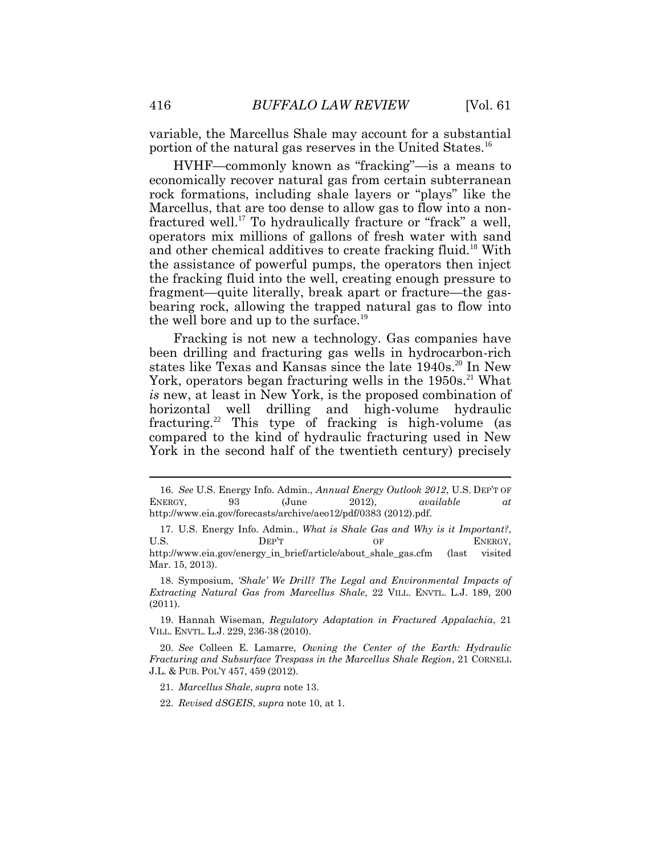variable, the Marcellus Shale may account for a substantial portion of the natural gas reserves in the United States.<sup>16</sup>

HVHF—commonly known as "fracking"—is a means to economically recover natural gas from certain subterranean rock formations, including shale layers or "plays" like the Marcellus, that are too dense to allow gas to flow into a nonfractured well.<sup>17</sup> To hydraulically fracture or "frack" a well, operators mix millions of gallons of fresh water with sand and other chemical additives to create fracking fluid.<sup>18</sup> With the assistance of powerful pumps, the operators then inject the fracking fluid into the well, creating enough pressure to fragment—quite literally, break apart or fracture—the gasbearing rock, allowing the trapped natural gas to flow into the well bore and up to the surface.<sup>19</sup>

Fracking is not new a technology. Gas companies have been drilling and fracturing gas wells in hydrocarbon-rich states like Texas and Kansas since the late 1940s.<sup>20</sup> In New York, operators began fracturing wells in the 1950s.<sup>21</sup> What *is* new, at least in New York, is the proposed combination of horizontal well drilling and high-volume hydraulic fracturing.<sup>22</sup> This type of fracking is high-volume (as compared to the kind of hydraulic fracturing used in New York in the second half of the twentieth century) precisely

<sup>16.</sup> *See* U.S. Energy Info. Admin., *Annual Energy Outlook 2012*, U.S. DEP'T OF ENERGY, 93 (June 2012), *available at*  http://www.eia.gov/forecasts/archive/aeo12/pdf/0383 (2012).pdf.

<sup>17.</sup> U.S. Energy Info. Admin., *What is Shale Gas and Why is it Important?*, U.S. DEP'T OF ENERGY, http://www.eia.gov/energy\_in\_brief/article/about\_shale\_gas.cfm (last visited Mar. 15, 2013).

<sup>18.</sup> Symposium, *'Shale' We Drill? The Legal and Environmental Impacts of Extracting Natural Gas from Marcellus Shale*, 22 VILL. ENVTL. L.J. 189, 200 (2011).

<sup>19.</sup> Hannah Wiseman, *Regulatory Adaptation in Fractured Appalachia*, 21 VILL. ENVTL. L.J. 229, 236-38 (2010).

<sup>20.</sup> *See* Colleen E. Lamarre, *Owning the Center of the Earth: Hydraulic Fracturing and Subsurface Trespass in the Marcellus Shale Region*, 21 CORNELL J.L. & PUB. POL'Y 457, 459 (2012).

<sup>21.</sup> *Marcellus Shale*, *supra* note 13.

<sup>22.</sup> *Revised dSGEIS*, *supra* note 10, at 1.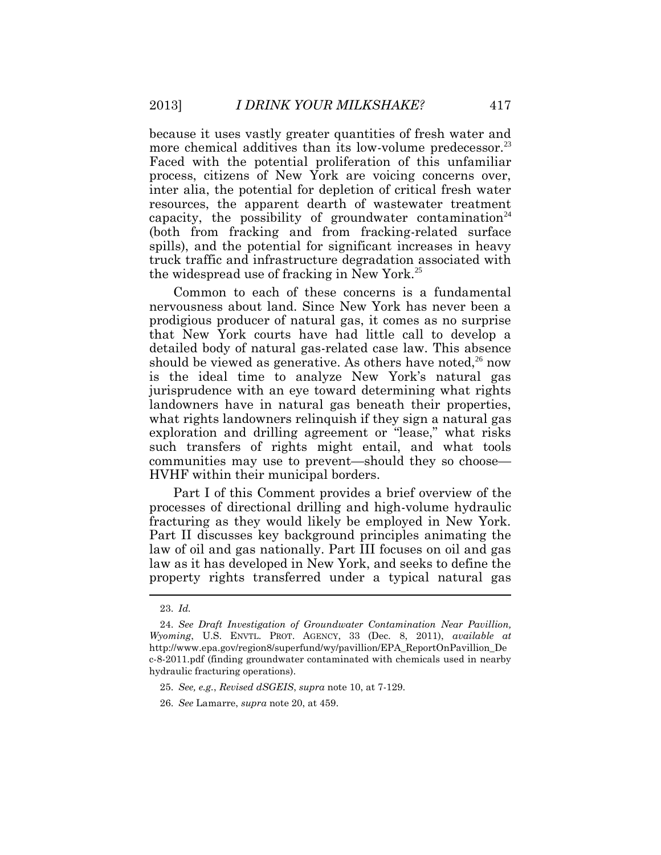because it uses vastly greater quantities of fresh water and more chemical additives than its low-volume predecessor.<sup>23</sup> Faced with the potential proliferation of this unfamiliar process, citizens of New York are voicing concerns over, inter alia, the potential for depletion of critical fresh water resources, the apparent dearth of wastewater treatment capacity, the possibility of groundwater contamination<sup>24</sup> (both from fracking and from fracking-related surface spills), and the potential for significant increases in heavy truck traffic and infrastructure degradation associated with the widespread use of fracking in New York.<sup>25</sup>

Common to each of these concerns is a fundamental nervousness about land. Since New York has never been a prodigious producer of natural gas, it comes as no surprise that New York courts have had little call to develop a detailed body of natural gas-related case law. This absence should be viewed as generative. As others have noted,<sup>26</sup> now is the ideal time to analyze New York's natural gas jurisprudence with an eye toward determining what rights landowners have in natural gas beneath their properties, what rights landowners relinquish if they sign a natural gas exploration and drilling agreement or "lease," what risks such transfers of rights might entail, and what tools communities may use to prevent—should they so choose— HVHF within their municipal borders.

Part I of this Comment provides a brief overview of the processes of directional drilling and high-volume hydraulic fracturing as they would likely be employed in New York. Part II discusses key background principles animating the law of oil and gas nationally. Part III focuses on oil and gas law as it has developed in New York, and seeks to define the property rights transferred under a typical natural gas

<sup>23.</sup> *Id.*

<sup>24.</sup> *See Draft Investigation of Groundwater Contamination Near Pavillion, Wyoming*, U.S. ENVTL. PROT. AGENCY, 33 (Dec. 8, 2011), *available at*  http://www.epa.gov/region8/superfund/wy/pavillion/EPA\_ReportOnPavillion\_De c-8-2011.pdf (finding groundwater contaminated with chemicals used in nearby hydraulic fracturing operations).

<sup>25.</sup> *See, e.g.*, *Revised dSGEIS*, *supra* note 10, at 7-129.

<sup>26.</sup> *See* Lamarre, *supra* note 20, at 459.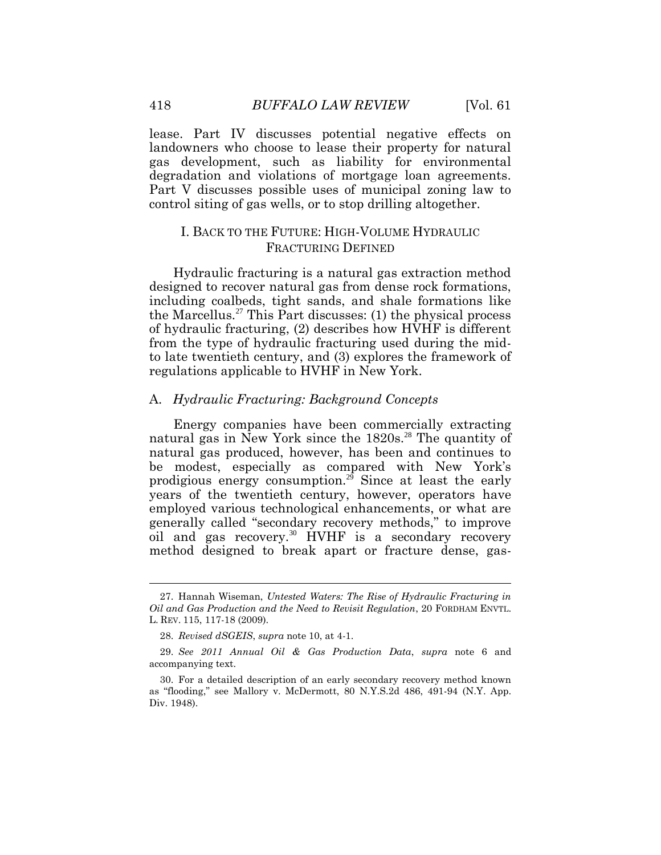lease. Part IV discusses potential negative effects on landowners who choose to lease their property for natural gas development, such as liability for environmental degradation and violations of mortgage loan agreements. Part V discusses possible uses of municipal zoning law to control siting of gas wells, or to stop drilling altogether.

# I. BACK TO THE FUTURE: HIGH-VOLUME HYDRAULIC FRACTURING DEFINED

Hydraulic fracturing is a natural gas extraction method designed to recover natural gas from dense rock formations, including coalbeds, tight sands, and shale formations like the Marcellus.<sup>27</sup> This Part discusses: (1) the physical process of hydraulic fracturing, (2) describes how HVHF is different from the type of hydraulic fracturing used during the midto late twentieth century, and (3) explores the framework of regulations applicable to HVHF in New York.

#### A. *Hydraulic Fracturing: Background Concepts*

Energy companies have been commercially extracting natural gas in New York since the 1820s.<sup>28</sup> The quantity of natural gas produced, however, has been and continues to be modest, especially as compared with New York's prodigious energy consumption.<sup>29</sup> Since at least the early years of the twentieth century, however, operators have employed various technological enhancements, or what are generally called "secondary recovery methods," to improve oil and gas recovery.<sup>30</sup> HVHF is a secondary recovery method designed to break apart or fracture dense, gas-

<sup>27.</sup> Hannah Wiseman, *Untested Waters: The Rise of Hydraulic Fracturing in Oil and Gas Production and the Need to Revisit Regulation*, 20 FORDHAM ENVTL. L. REV. 115, 117-18 (2009).

<sup>28.</sup> *Revised dSGEIS*, *supra* note 10, at 4-1.

<sup>29.</sup> *See 2011 Annual Oil & Gas Production Data*, *supra* note 6 and accompanying text.

<sup>30.</sup> For a detailed description of an early secondary recovery method known as "flooding," see Mallory v. McDermott, 80 N.Y.S.2d 486, 491-94 (N.Y. App. Div. 1948).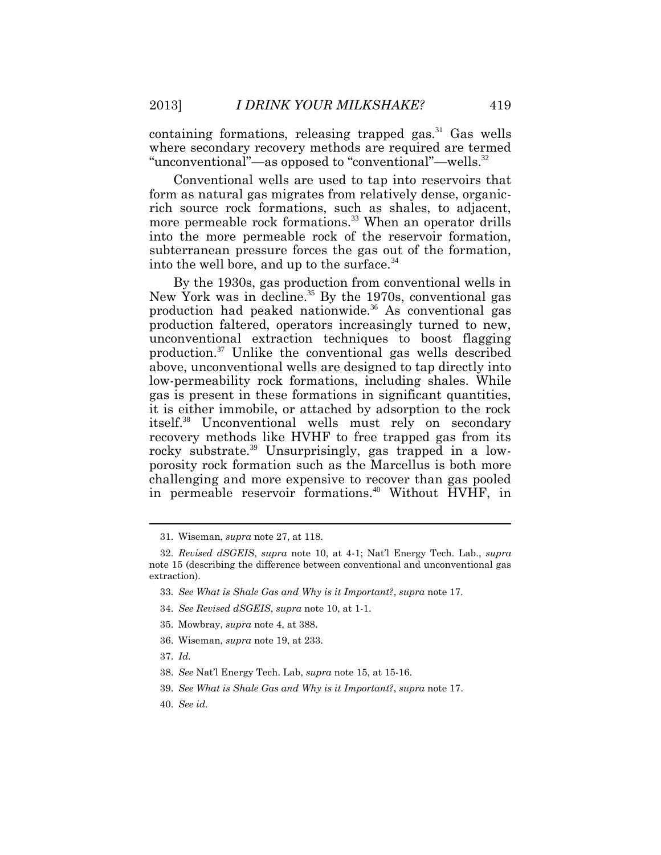containing formations, releasing trapped gas.<sup>31</sup> Gas wells where secondary recovery methods are required are termed "unconventional"—as opposed to "conventional"—wells.<sup>32</sup>

Conventional wells are used to tap into reservoirs that form as natural gas migrates from relatively dense, organicrich source rock formations, such as shales, to adjacent, more permeable rock formations.<sup>33</sup> When an operator drills into the more permeable rock of the reservoir formation, subterranean pressure forces the gas out of the formation, into the well bore, and up to the surface.  $34$ 

By the 1930s, gas production from conventional wells in New York was in decline.<sup>35</sup> By the 1970s, conventional gas production had peaked nationwide.<sup>36</sup> As conventional gas production faltered, operators increasingly turned to new, unconventional extraction techniques to boost flagging production.<sup>37</sup> Unlike the conventional gas wells described above, unconventional wells are designed to tap directly into low-permeability rock formations, including shales. While gas is present in these formations in significant quantities, it is either immobile, or attached by adsorption to the rock itself.<sup>38</sup> Unconventional wells must rely on secondary recovery methods like HVHF to free trapped gas from its rocky substrate.<sup>39</sup> Unsurprisingly, gas trapped in a lowporosity rock formation such as the Marcellus is both more challenging and more expensive to recover than gas pooled in permeable reservoir formations.<sup>40</sup> Without HVHF, in

- 33. *See What is Shale Gas and Why is it Important?*, *supra* note 17.
- 34. *See Revised dSGEIS*, *supra* note 10, at 1-1.
- 35. Mowbray, *supra* note 4, at 388.
- 36. Wiseman, *supra* note 19, at 233.
- 37. *Id.*
- 38. *See* Nat'l Energy Tech. Lab, *supra* note 15, at 15-16.
- 39. *See What is Shale Gas and Why is it Important?*, *supra* note 17.
- 40. *See id.*

<sup>31.</sup> Wiseman, *supra* note 27, at 118.

<sup>32.</sup> *Revised dSGEIS*, *supra* note 10, at 4-1; Nat'l Energy Tech. Lab., *supra*  note 15 (describing the difference between conventional and unconventional gas extraction).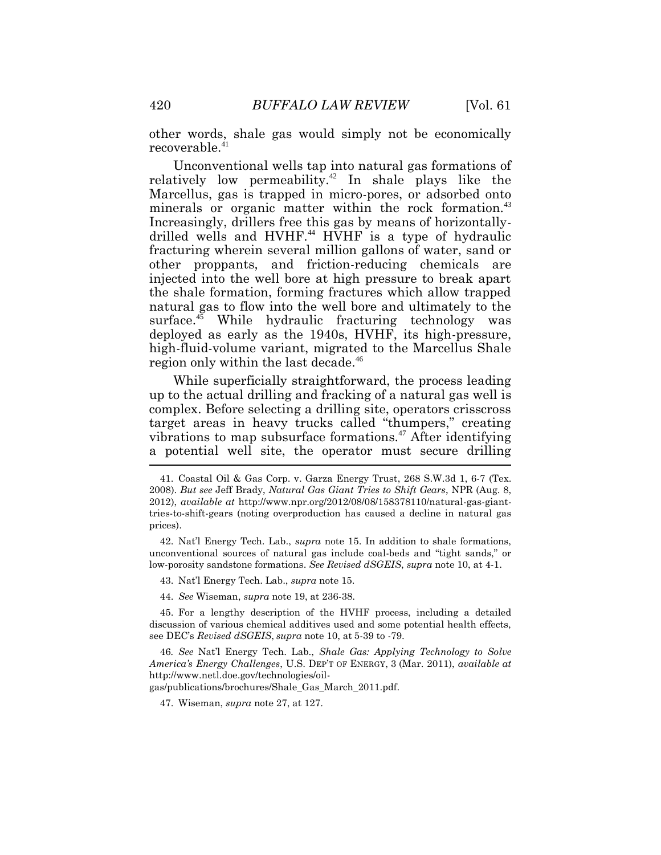other words, shale gas would simply not be economically recoverable.<sup>41</sup>

Unconventional wells tap into natural gas formations of relatively low permeability.<sup>42</sup> In shale plays like the Marcellus, gas is trapped in micro-pores, or adsorbed onto minerals or organic matter within the rock formation.<sup>43</sup> Increasingly, drillers free this gas by means of horizontallydrilled wells and HVHF.<sup>44</sup> HVHF is a type of hydraulic fracturing wherein several million gallons of water, sand or other proppants, and friction-reducing chemicals are injected into the well bore at high pressure to break apart the shale formation, forming fractures which allow trapped natural gas to flow into the well bore and ultimately to the surface.<sup>45</sup> While hydraulic fracturing technology was deployed as early as the 1940s, HVHF, its high-pressure, high-fluid-volume variant, migrated to the Marcellus Shale region only within the last decade.<sup>46</sup>

While superficially straightforward, the process leading up to the actual drilling and fracking of a natural gas well is complex. Before selecting a drilling site, operators crisscross target areas in heavy trucks called "thumpers," creating vibrations to map subsurface formations.<sup>47</sup> After identifying a potential well site, the operator must secure drilling

43. Nat'l Energy Tech. Lab., *supra* note 15.

44. *See* Wiseman, *supra* note 19, at 236-38.

45. For a lengthy description of the HVHF process, including a detailed discussion of various chemical additives used and some potential health effects, see DEC's *Revised dSGEIS*, *supra* note 10, at 5-39 to -79.

46*. See* Nat'l Energy Tech. Lab., *Shale Gas: Applying Technology to Solve America's Energy Challenges*, U.S. DEP'T OF ENERGY, 3 (Mar. 2011), *available at*  http://www.netl.doe.gov/technologies/oil-

gas/publications/brochures/Shale\_Gas\_March\_2011.pdf.

47. Wiseman, *supra* note 27, at 127.

<sup>41.</sup> Coastal Oil & Gas Corp. v. Garza Energy Trust, 268 S.W.3d 1, 6-7 (Tex. 2008). *But see* Jeff Brady, *Natural Gas Giant Tries to Shift Gears*, NPR (Aug. 8, 2012), *available at* http://www.npr.org/2012/08/08/158378110/natural-gas-gianttries-to-shift-gears (noting overproduction has caused a decline in natural gas prices).

<sup>42.</sup> Nat'l Energy Tech. Lab., *supra* note 15. In addition to shale formations, unconventional sources of natural gas include coal-beds and "tight sands," or low-porosity sandstone formations. *See Revised dSGEIS*, *supra* note 10, at 4-1.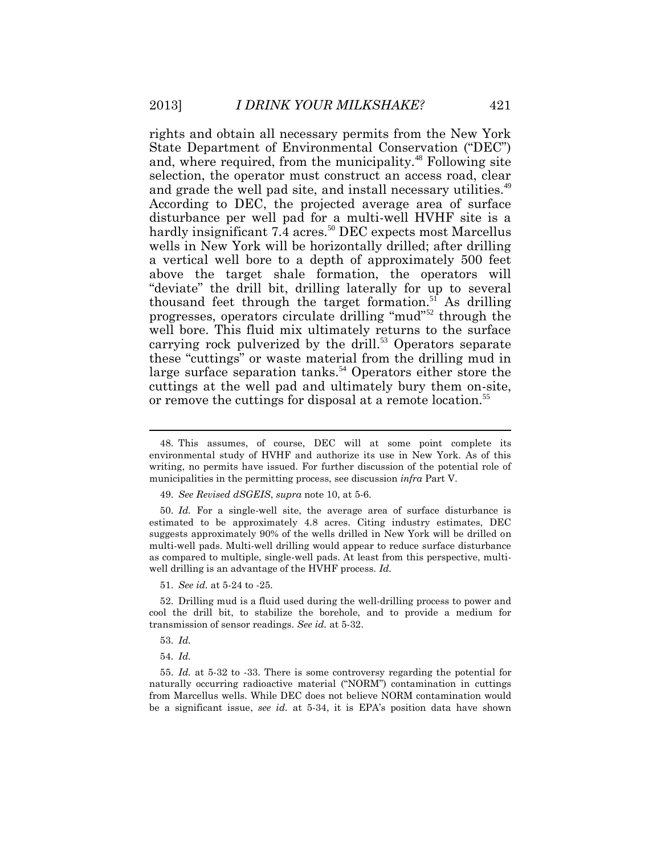rights and obtain all necessary permits from the New York State Department of Environmental Conservation ("DEC") and, where required, from the municipality.<sup>48</sup> Following site selection, the operator must construct an access road, clear and grade the well pad site, and install necessary utilities.<sup>49</sup> According to DEC, the projected average area of surface disturbance per well pad for a multi-well HVHF site is a hardly insignificant  $7.\overline{4}$  acres.<sup>50</sup> DEC expects most Marcellus wells in New York will be horizontally drilled; after drilling a vertical well bore to a depth of approximately 500 feet above the target shale formation, the operators will "deviate" the drill bit, drilling laterally for up to several thousand feet through the target formation. $5<sup>1</sup>$  As drilling progresses, operators circulate drilling "mud"<sup>52</sup> through the well bore. This fluid mix ultimately returns to the surface carrying rock pulverized by the drill. $53$  Operators separate these "cuttings" or waste material from the drilling mud in large surface separation tanks.<sup>54</sup> Operators either store the cuttings at the well pad and ultimately bury them on-site, or remove the cuttings for disposal at a remote location.<sup>55</sup>

51. *See id.* at 5-24 to -25.

52. Drilling mud is a fluid used during the well-drilling process to power and cool the drill bit, to stabilize the borehole, and to provide a medium for transmission of sensor readings. *See id.* at 5-32.

55. *Id.* at 5-32 to -33. There is some controversy regarding the potential for naturally occurring radioactive material ("NORM") contamination in cuttings from Marcellus wells. While DEC does not believe NORM contamination would be a significant issue, *see id.* at 5-34, it is EPA's position data have shown

<sup>48.</sup> This assumes, of course, DEC will at some point complete its environmental study of HVHF and authorize its use in New York. As of this writing, no permits have issued. For further discussion of the potential role of municipalities in the permitting process, see discussion *infra* Part V.

<sup>49.</sup> *See Revised dSGEIS*, *supra* note 10, at 5-6.

<sup>50.</sup> *Id.* For a single-well site, the average area of surface disturbance is estimated to be approximately 4.8 acres. Citing industry estimates, DEC suggests approximately 90% of the wells drilled in New York will be drilled on multi-well pads. Multi-well drilling would appear to reduce surface disturbance as compared to multiple, single-well pads. At least from this perspective, multiwell drilling is an advantage of the HVHF process. *Id.*

<sup>53.</sup> *Id.*

<sup>54.</sup> *Id.*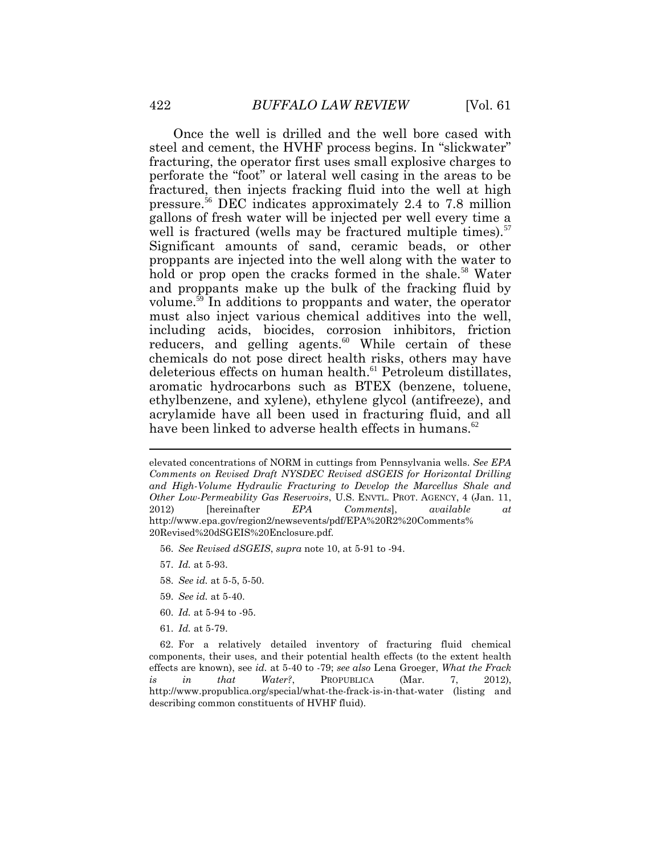Once the well is drilled and the well bore cased with steel and cement, the HVHF process begins. In "slickwater" fracturing, the operator first uses small explosive charges to perforate the "foot" or lateral well casing in the areas to be fractured, then injects fracking fluid into the well at high pressure.<sup>56</sup> DEC indicates approximately 2.4 to 7.8 million gallons of fresh water will be injected per well every time a well is fractured (wells may be fractured multiple times). $57$ Significant amounts of sand, ceramic beads, or other proppants are injected into the well along with the water to hold or prop open the cracks formed in the shale.<sup>58</sup> Water and proppants make up the bulk of the fracking fluid by volume.<sup>59</sup> In additions to proppants and water, the operator must also inject various chemical additives into the well, including acids, biocides, corrosion inhibitors, friction reducers, and gelling agents.<sup>60</sup> While certain of these chemicals do not pose direct health risks, others may have deleterious effects on human health.<sup>61</sup> Petroleum distillates, aromatic hydrocarbons such as BTEX (benzene, toluene, ethylbenzene, and xylene), ethylene glycol (antifreeze), and acrylamide have all been used in fracturing fluid, and all have been linked to adverse health effects in humans.<sup>62</sup>

- 56. *See Revised dSGEIS*, *supra* note 10, at 5-91 to -94.
- 57. *Id.* at 5-93.
- 58. *See id.* at 5-5, 5-50.
- 59. *See id.* at 5-40.
- 60. *Id.* at 5-94 to -95.
- 61. *Id.* at 5-79.

elevated concentrations of NORM in cuttings from Pennsylvania wells. *See EPA Comments on Revised Draft NYSDEC Revised dSGEIS for Horizontal Drilling and High-Volume Hydraulic Fracturing to Develop the Marcellus Shale and Other Low-Permeability Gas Reservoirs*, U.S. ENVTL. PROT. AGENCY, 4 (Jan. 11, 2012) [hereinafter *EPA Comments*], *available at* http://www.epa.gov/region2/newsevents/pdf/EPA%20R2%20Comments% 20Revised%20dSGEIS%20Enclosure.pdf.

<sup>62.</sup> For a relatively detailed inventory of fracturing fluid chemical components, their uses, and their potential health effects (to the extent health effects are known), see *id.* at 5-40 to -79; *see also* Lena Groeger, *What the Frack is in that Water?*, PROPUBLICA (Mar. 7, 2012), http://www.propublica.org/special/what-the-frack-is-in-that-water (listing and describing common constituents of HVHF fluid).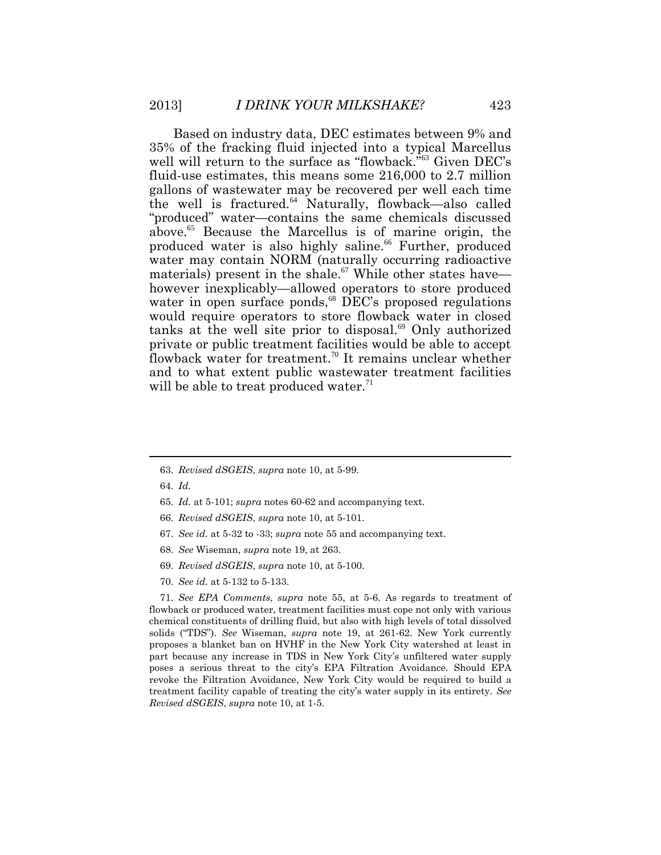Based on industry data, DEC estimates between 9% and 35% of the fracking fluid injected into a typical Marcellus well will return to the surface as "flowback."<sup>63</sup> Given DEC's fluid-use estimates, this means some 216,000 to 2.7 million gallons of wastewater may be recovered per well each time the well is fractured.<sup>64</sup> Naturally, flowback—also called "produced" water—contains the same chemicals discussed above.<sup>65</sup> Because the Marcellus is of marine origin, the produced water is also highly saline.<sup>66</sup> Further, produced water may contain NORM (naturally occurring radioactive materials) present in the shale.<sup>67</sup> While other states have however inexplicably—allowed operators to store produced water in open surface ponds,<sup>68</sup> DEC's proposed regulations would require operators to store flowback water in closed tanks at the well site prior to disposal.<sup>69</sup> Only authorized private or public treatment facilities would be able to accept flowback water for treatment.<sup>70</sup> It remains unclear whether and to what extent public wastewater treatment facilities will be able to treat produced water. $71$ 

- 63. *Revised dSGEIS*, *supra* note 10, at 5-99.
- 64. *Id.*
- 65. *Id.* at 5-101; *supra* notes 60-62 and accompanying text.
- 66. *Revised dSGEIS*, *supra* note 10, at 5-101.
- 67. *See id.* at 5-32 to -33; *supra* note 55 and accompanying text.
- 68. *See* Wiseman, *supra* note 19, at 263.
- 69. *Revised dSGEIS*, *supra* note 10, at 5-100.
- 70. *See id.* at 5-132 to 5-133.

71. *See EPA Comments*, *supra* note 55, at 5-6. As regards to treatment of flowback or produced water, treatment facilities must cope not only with various chemical constituents of drilling fluid, but also with high levels of total dissolved solids ("TDS"). *See* Wiseman, *supra* note 19, at 261-62. New York currently proposes a blanket ban on HVHF in the New York City watershed at least in part because any increase in TDS in New York City's unfiltered water supply poses a serious threat to the city's EPA Filtration Avoidance. Should EPA revoke the Filtration Avoidance, New York City would be required to build a treatment facility capable of treating the city's water supply in its entirety. *See Revised dSGEIS*, *supra* note 10, at 1-5.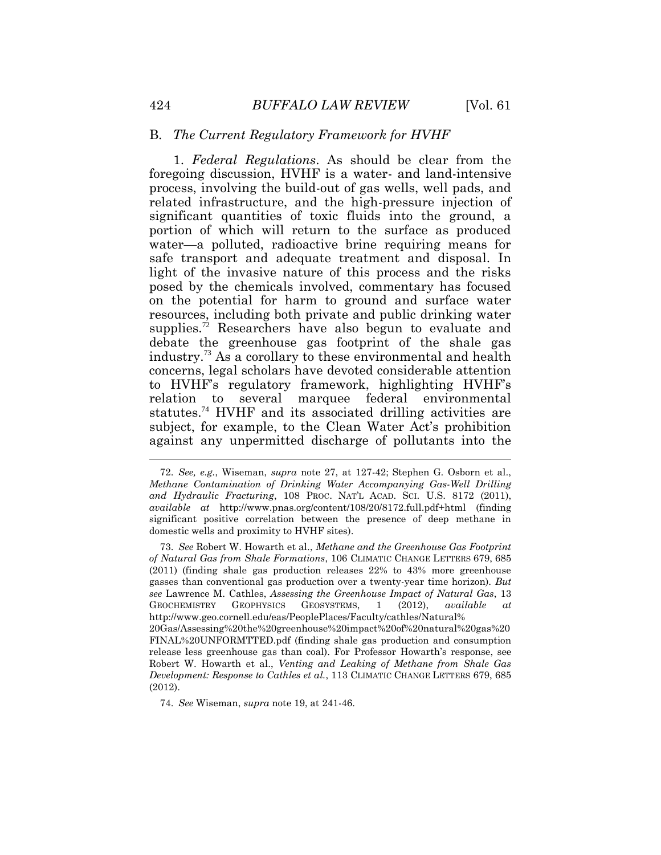#### B. *The Current Regulatory Framework for HVHF*

1. *Federal Regulations*. As should be clear from the foregoing discussion, HVHF is a water- and land-intensive process, involving the build-out of gas wells, well pads, and related infrastructure, and the high-pressure injection of significant quantities of toxic fluids into the ground, a portion of which will return to the surface as produced water—a polluted, radioactive brine requiring means for safe transport and adequate treatment and disposal. In light of the invasive nature of this process and the risks posed by the chemicals involved, commentary has focused on the potential for harm to ground and surface water resources, including both private and public drinking water supplies.<sup>72</sup> Researchers have also begun to evaluate and debate the greenhouse gas footprint of the shale gas industry.<sup>73</sup> As a corollary to these environmental and health concerns, legal scholars have devoted considerable attention to HVHF's regulatory framework, highlighting HVHF's relation to several marquee federal environmental statutes.<sup>74</sup> HVHF and its associated drilling activities are subject, for example, to the Clean Water Act's prohibition against any unpermitted discharge of pollutants into the  $\overline{a}$ 

74. *See* Wiseman, *supra* note 19, at 241-46.

<sup>72.</sup> *See, e.g.*, Wiseman, *supra* note 27, at 127-42; Stephen G. Osborn et al., *Methane Contamination of Drinking Water Accompanying Gas-Well Drilling and Hydraulic Fracturing*, 108 PROC. NAT'L ACAD. SCI. U.S. 8172 (2011), *available at* http://www.pnas.org/content/108/20/8172.full.pdf+html (finding significant positive correlation between the presence of deep methane in domestic wells and proximity to HVHF sites).

<sup>73.</sup> *See* Robert W. Howarth et al., *Methane and the Greenhouse Gas Footprint of Natural Gas from Shale Formations*, 106 CLIMATIC CHANGE LETTERS 679, 685 (2011) (finding shale gas production releases 22% to 43% more greenhouse gasses than conventional gas production over a twenty-year time horizon). *But see* Lawrence M. Cathles, *Assessing the Greenhouse Impact of Natural Gas*, 13 GEOCHEMISTRY GEOPHYSICS GEOSYSTEMS, 1 (2012), *available at* http://www.geo.cornell.edu/eas/PeoplePlaces/Faculty/cathles/Natural% 20Gas/Assessing%20the%20greenhouse%20impact%20of%20natural%20gas%20 FINAL%20UNFORMTTED.pdf (finding shale gas production and consumption release less greenhouse gas than coal). For Professor Howarth's response, see Robert W. Howarth et al., *Venting and Leaking of Methane from Shale Gas Development: Response to Cathles et al.*, 113 CLIMATIC CHANGE LETTERS 679, 685 (2012).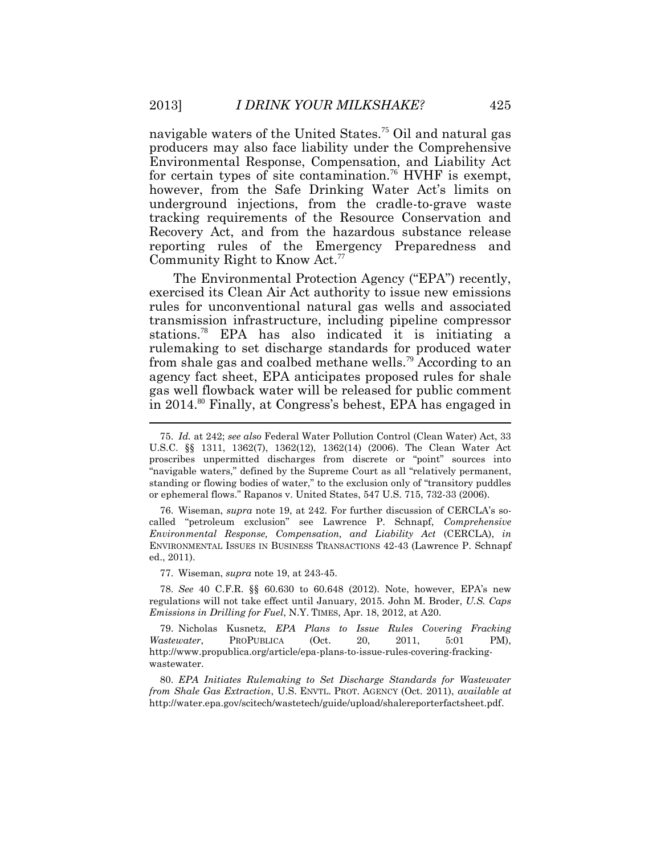navigable waters of the United States.<sup>75</sup> Oil and natural gas producers may also face liability under the Comprehensive Environmental Response, Compensation, and Liability Act for certain types of site contamination.<sup>76</sup> HVHF is exempt, however, from the Safe Drinking Water Act's limits on underground injections, from the cradle-to-grave waste tracking requirements of the Resource Conservation and Recovery Act, and from the hazardous substance release reporting rules of the Emergency Preparedness and Community Right to Know Act.<sup>77</sup>

The Environmental Protection Agency ("EPA") recently, exercised its Clean Air Act authority to issue new emissions rules for unconventional natural gas wells and associated transmission infrastructure, including pipeline compressor stations.<sup>78</sup> EPA has also indicated it is initiating a rulemaking to set discharge standards for produced water from shale gas and coalbed methane wells.<sup>79</sup> According to an agency fact sheet, EPA anticipates proposed rules for shale gas well flowback water will be released for public comment in 2014.<sup>80</sup> Finally, at Congress's behest, EPA has engaged in

77. Wiseman, *supra* note 19, at 243-45.

78. *See* 40 C.F.R. §§ 60.630 to 60.648 (2012). Note, however, EPA's new regulations will not take effect until January, 2015. John M. Broder, *U.S. Caps Emissions in Drilling for Fuel*, N.Y. TIMES, Apr. 18, 2012, at A20.

79. Nicholas Kusnetz, *EPA Plans to Issue Rules Covering Fracking Wastewater*, PROPUBLICA (Oct. 20, 2011, 5:01 PM), http://www.propublica.org/article/epa-plans-to-issue-rules-covering-frackingwastewater.

80. *EPA Initiates Rulemaking to Set Discharge Standards for Wastewater from Shale Gas Extraction*, U.S. ENVTL. PROT. AGENCY (Oct. 2011), *available at*  http://water.epa.gov/scitech/wastetech/guide/upload/shalereporterfactsheet.pdf.

<sup>75.</sup> *Id.* at 242; *see also* Federal Water Pollution Control (Clean Water) Act, 33 U.S.C. §§ 1311, 1362(7), 1362(12), 1362(14) (2006). The Clean Water Act proscribes unpermitted discharges from discrete or "point" sources into "navigable waters," defined by the Supreme Court as all "relatively permanent, standing or flowing bodies of water," to the exclusion only of "transitory puddles or ephemeral flows." Rapanos v. United States, 547 U.S. 715, 732-33 (2006).

<sup>76.</sup> Wiseman, *supra* note 19, at 242. For further discussion of CERCLA's socalled "petroleum exclusion" see Lawrence P. Schnapf, *Comprehensive Environmental Response, Compensation, and Liability Act* (CERCLA), *in* ENVIRONMENTAL ISSUES IN BUSINESS TRANSACTIONS 42-43 (Lawrence P. Schnapf ed., 2011).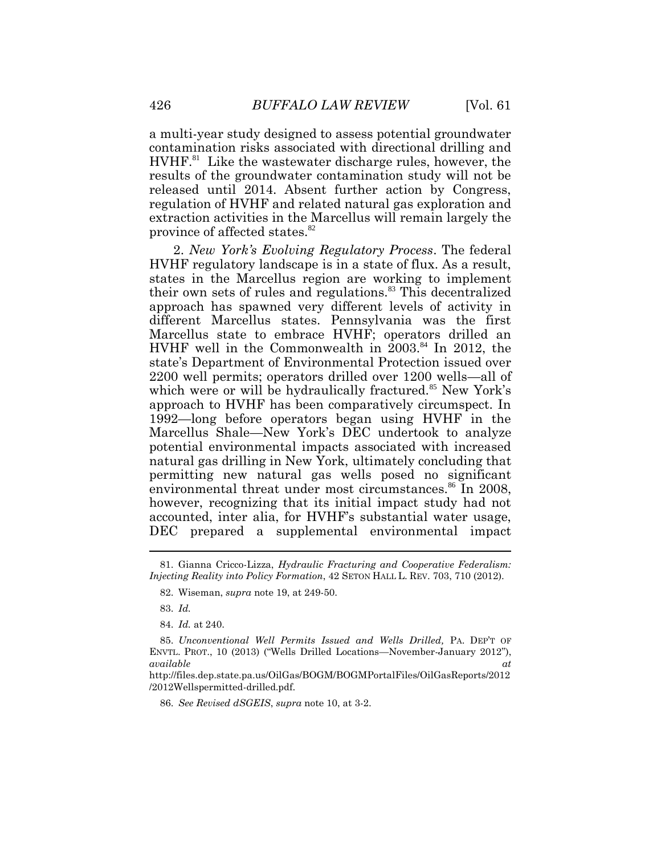a multi-year study designed to assess potential groundwater contamination risks associated with directional drilling and HVHF.<sup>81</sup> Like the wastewater discharge rules, however, the results of the groundwater contamination study will not be released until 2014. Absent further action by Congress, regulation of HVHF and related natural gas exploration and extraction activities in the Marcellus will remain largely the province of affected states.<sup>82</sup>

2. *New York's Evolving Regulatory Process*. The federal HVHF regulatory landscape is in a state of flux. As a result, states in the Marcellus region are working to implement their own sets of rules and regulations.<sup>83</sup> This decentralized approach has spawned very different levels of activity in different Marcellus states. Pennsylvania was the first Marcellus state to embrace HVHF; operators drilled an HVHF well in the Commonwealth in  $2003$ .<sup>84</sup> In 2012, the state's Department of Environmental Protection issued over 2200 well permits; operators drilled over 1200 wells—all of which were or will be hydraulically fractured.<sup>85</sup> New York's approach to HVHF has been comparatively circumspect. In 1992—long before operators began using HVHF in the Marcellus Shale—New York's DEC undertook to analyze potential environmental impacts associated with increased natural gas drilling in New York, ultimately concluding that permitting new natural gas wells posed no significant environmental threat under most circumstances.<sup>86</sup> In 2008, however, recognizing that its initial impact study had not accounted, inter alia, for HVHF's substantial water usage, DEC prepared a supplemental environmental impact

http://files.dep.state.pa.us/OilGas/BOGM/BOGMPortalFiles/OilGasReports/2012 /2012Wellspermitted-drilled.pdf.

86. *See Revised dSGEIS*, *supra* note 10, at 3-2.

<sup>81.</sup> Gianna Cricco-Lizza, *Hydraulic Fracturing and Cooperative Federalism: Injecting Reality into Policy Formation*, 42 SETON HALL L. REV. 703, 710 (2012).

<sup>82.</sup> Wiseman, *supra* note 19, at 249-50.

<sup>83.</sup> *Id.*

<sup>84.</sup> *Id.* at 240.

<sup>85.</sup> *Unconventional Well Permits Issued and Wells Drilled,* PA. DEP'T OF ENVTL. PROT., 10 (2013) ("Wells Drilled Locations—November-January 2012"), *available at*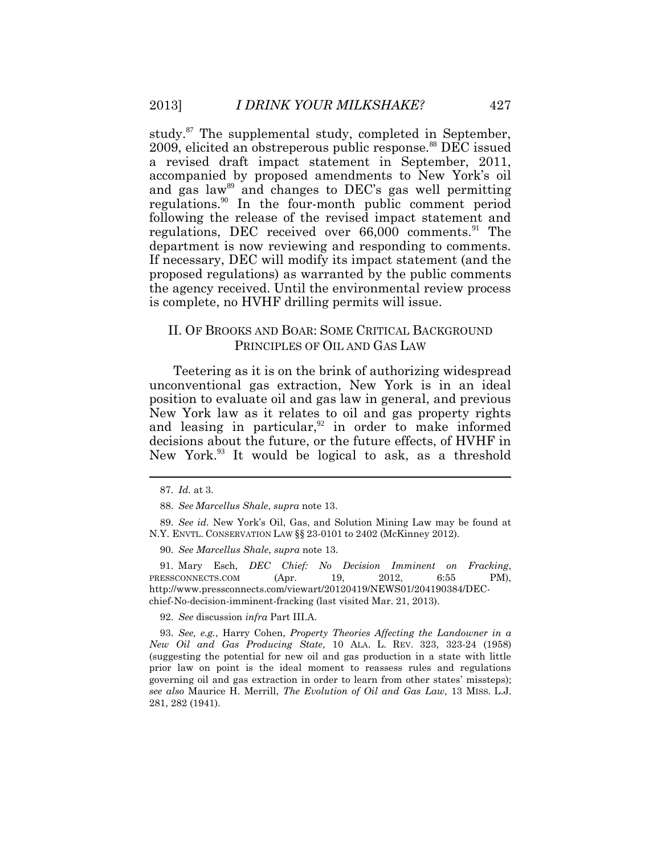study.<sup>87</sup> The supplemental study, completed in September, 2009, elicited an obstreperous public response.<sup>88</sup> DEC issued a revised draft impact statement in September, 2011, accompanied by proposed amendments to New York's oil and gas law<sup>89</sup> and changes to DEC's gas well permitting regulations.<sup>90</sup> In the four-month public comment period following the release of the revised impact statement and regulations, DEC received over 66,000 comments.<sup>91</sup> The department is now reviewing and responding to comments. If necessary, DEC will modify its impact statement (and the proposed regulations) as warranted by the public comments the agency received. Until the environmental review process is complete, no HVHF drilling permits will issue.

## II. OF BROOKS AND BOAR: SOME CRITICAL BACKGROUND PRINCIPLES OF OIL AND GAS LAW

Teetering as it is on the brink of authorizing widespread unconventional gas extraction, New York is in an ideal position to evaluate oil and gas law in general, and previous New York law as it relates to oil and gas property rights and leasing in particular, $92$  in order to make informed decisions about the future, or the future effects, of HVHF in New York.<sup>93</sup> It would be logical to ask, as a threshold

89. *See id.* New York's Oil, Gas, and Solution Mining Law may be found at N.Y. ENVTL. CONSERVATION LAW §§ 23-0101 to 2402 (McKinney 2012).

90. *See Marcellus Shale*, *supra* note 13.

91. Mary Esch, *DEC Chief: No Decision Imminent on Fracking*, PRESSCONNECTS.COM (Apr. 19, 2012, 6:55 PM), http://www.pressconnects.com/viewart/20120419/NEWS01/204190384/DECchief-No-decision-imminent-fracking (last visited Mar. 21, 2013).

92. *See* discussion *infra* Part III.A.

93. *See, e.g.*, Harry Cohen, *Property Theories Affecting the Landowner in a New Oil and Gas Producing State*, 10 ALA. L. REV. 323, 323-24 (1958) (suggesting the potential for new oil and gas production in a state with little prior law on point is the ideal moment to reassess rules and regulations governing oil and gas extraction in order to learn from other states' missteps); *see also* Maurice H. Merrill, *The Evolution of Oil and Gas Law*, 13 MISS. L.J. 281, 282 (1941).

<sup>87.</sup> *Id.* at 3.

<sup>88.</sup> *See Marcellus Shale*, *supra* note 13.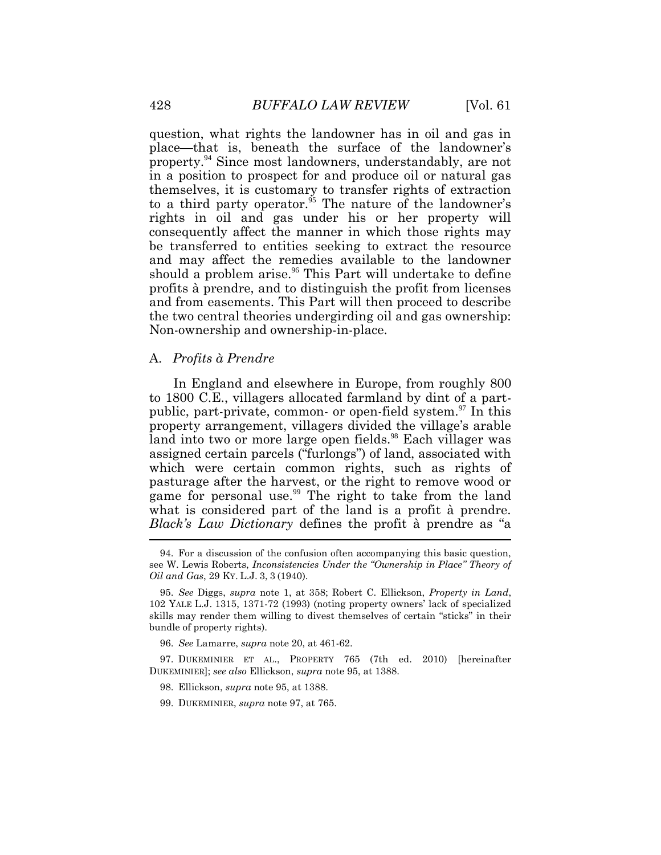question, what rights the landowner has in oil and gas in place—that is, beneath the surface of the landowner's property.<sup>94</sup> Since most landowners, understandably, are not in a position to prospect for and produce oil or natural gas themselves, it is customary to transfer rights of extraction to a third party operator. $\frac{5}{5}$  The nature of the landowner's rights in oil and gas under his or her property will consequently affect the manner in which those rights may be transferred to entities seeking to extract the resource and may affect the remedies available to the landowner should a problem arise.<sup>96</sup> This Part will undertake to define profits à prendre, and to distinguish the profit from licenses and from easements. This Part will then proceed to describe the two central theories undergirding oil and gas ownership: Non-ownership and ownership-in-place.

#### A. *Profits à Prendre*

In England and elsewhere in Europe, from roughly 800 to 1800 C.E., villagers allocated farmland by dint of a partpublic, part-private, common- or open-field system.<sup>97</sup> In this property arrangement, villagers divided the village's arable land into two or more large open fields.<sup>98</sup> Each villager was assigned certain parcels ("furlongs") of land, associated with which were certain common rights, such as rights of pasturage after the harvest, or the right to remove wood or game for personal use.<sup>99</sup> The right to take from the land what is considered part of the land is a profit à prendre. *Black's Law Dictionary* defines the profit à prendre as "a .<br>.

<sup>94.</sup> For a discussion of the confusion often accompanying this basic question, see W. Lewis Roberts, *Inconsistencies Under the "Ownership in Place" Theory of Oil and Gas*, 29 KY. L.J. 3, 3 (1940).

<sup>95.</sup> *See* Diggs, *supra* note 1, at 358; Robert C. Ellickson, *Property in Land*, 102 YALE L.J. 1315, 1371-72 (1993) (noting property owners' lack of specialized skills may render them willing to divest themselves of certain "sticks" in their bundle of property rights).

<sup>96.</sup> *See* Lamarre, *supra* note 20, at 461-62.

<sup>97.</sup> DUKEMINIER ET AL., PROPERTY 765 (7th ed. 2010) [hereinafter DUKEMINIER]; *see also* Ellickson, *supra* note 95, at 1388.

<sup>98.</sup> Ellickson, *supra* note 95, at 1388.

<sup>99.</sup> DUKEMINIER, *supra* note 97, at 765.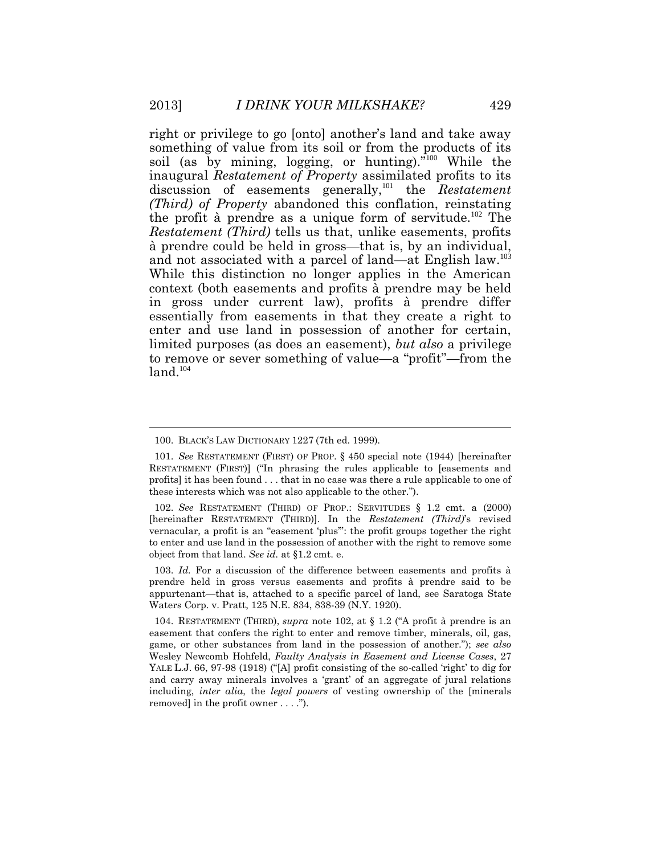right or privilege to go [onto] another's land and take away something of value from its soil or from the products of its soil (as by mining, logging, or hunting)."<sup>100</sup> While the inaugural *Restatement of Property* assimilated profits to its discussion of easements generally,<sup>101</sup> the *Restatement (Third) of Property* abandoned this conflation, reinstating the profit à prendre as a unique form of servitude.<sup>102</sup> The *Restatement (Third)* tells us that, unlike easements, profits à prendre could be held in gross—that is, by an individual, and not associated with a parcel of land—at English law.<sup>103</sup> While this distinction no longer applies in the American context (both easements and profits à prendre may be held in gross under current law), profits à prendre differ essentially from easements in that they create a right to enter and use land in possession of another for certain, limited purposes (as does an easement), *but also* a privilege to remove or sever something of value—a "profit"—from the  $land.<sup>104</sup>$ 

103. *Id.* For a discussion of the difference between easements and profits à prendre held in gross versus easements and profits à prendre said to be appurtenant—that is, attached to a specific parcel of land, see Saratoga State Waters Corp. v. Pratt, 125 N.E. 834, 838-39 (N.Y. 1920).

<sup>100.</sup> BLACK'S LAW DICTIONARY 1227 (7th ed. 1999).

<sup>101.</sup> *See* RESTATEMENT (FIRST) OF PROP. § 450 special note (1944) [hereinafter RESTATEMENT (FIRST)] ("In phrasing the rules applicable to [easements and profits] it has been found . . . that in no case was there a rule applicable to one of these interests which was not also applicable to the other.").

<sup>102.</sup> *See* RESTATEMENT (THIRD) OF PROP.: SERVITUDES § 1.2 cmt. a (2000) [hereinafter RESTATEMENT (THIRD)]. In the *Restatement (Third)*'s revised vernacular, a profit is an "easement 'plus'": the profit groups together the right to enter and use land in the possession of another with the right to remove some object from that land. *See id.* at §1.2 cmt. e.

<sup>104.</sup> RESTATEMENT (THIRD), *supra* note 102, at § 1.2 ("A profit à prendre is an easement that confers the right to enter and remove timber, minerals, oil, gas, game, or other substances from land in the possession of another."); *see also*  Wesley Newcomb Hohfeld, *Faulty Analysis in Easement and License Cases*, 27 YALE L.J. 66, 97-98 (1918) ("[A] profit consisting of the so-called 'right' to dig for and carry away minerals involves a 'grant' of an aggregate of jural relations including, *inter alia*, the *legal powers* of vesting ownership of the [minerals removed] in the profit owner . . . .").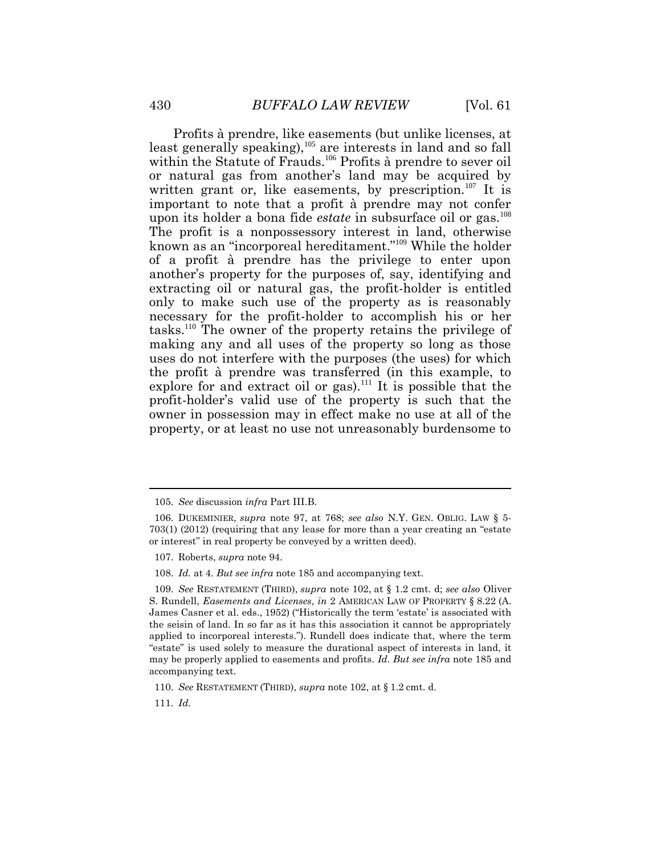Profits à prendre, like easements (but unlike licenses, at least generally speaking),<sup>105</sup> are interests in land and so fall within the Statute of Frauds.<sup>106</sup> Profits à prendre to sever oil or natural gas from another's land may be acquired by written grant or, like easements, by prescription.<sup>107</sup> It is important to note that a profit à prendre may not confer upon its holder a bona fide *estate* in subsurface oil or gas.<sup>108</sup> The profit is a nonpossessory interest in land, otherwise known as an "incorporeal hereditament."<sup>109</sup> While the holder of a profit à prendre has the privilege to enter upon another's property for the purposes of, say, identifying and extracting oil or natural gas, the profit-holder is entitled only to make such use of the property as is reasonably necessary for the profit-holder to accomplish his or her tasks.<sup>110</sup> The owner of the property retains the privilege of making any and all uses of the property so long as those uses do not interfere with the purposes (the uses) for which the profit à prendre was transferred (in this example, to explore for and extract oil or gas).<sup>111</sup> It is possible that the profit-holder's valid use of the property is such that the owner in possession may in effect make no use at all of the property, or at least no use not unreasonably burdensome to

<sup>105.</sup> *See* discussion *infra* Part III.B.

<sup>106.</sup> DUKEMINIER, *supra* note 97, at 768; *see also* N.Y. GEN. OBLIG. LAW § 5- 703(1) (2012) (requiring that any lease for more than a year creating an "estate or interest" in real property be conveyed by a written deed).

<sup>107.</sup> Roberts, *supra* note 94.

<sup>108.</sup> *Id.* at 4. *But see infra* note 185 and accompanying text.

<sup>109.</sup> *See* RESTATEMENT (THIRD), *supra* note 102, at § 1.2 cmt. d; *see also* Oliver S. Rundell, *Easements and Licenses*, *in* 2 AMERICAN LAW OF PROPERTY § 8.22 (A. James Casner et al. eds., 1952) ("Historically the term 'estate' is associated with the seisin of land. In so far as it has this association it cannot be appropriately applied to incorporeal interests."). Rundell does indicate that, where the term "estate" is used solely to measure the durational aspect of interests in land, it may be properly applied to easements and profits. *Id. But see infra* note 185 and accompanying text.

<sup>110.</sup> *See* RESTATEMENT (THIRD), *supra* note 102, at § 1.2 cmt. d.

<sup>111.</sup> *Id.*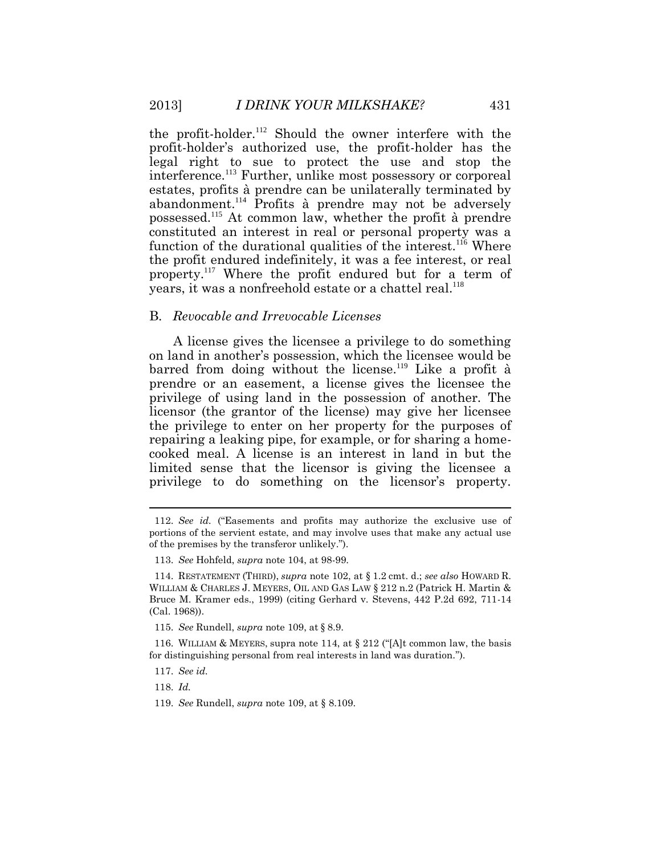the profit-holder.<sup>112</sup> Should the owner interfere with the profit-holder's authorized use, the profit-holder has the legal right to sue to protect the use and stop the interference.<sup>113</sup> Further, unlike most possessory or corporeal estates, profits à prendre can be unilaterally terminated by abandonment.<sup>114</sup> Profits à prendre may not be adversely possessed.<sup>115</sup> At common law, whether the profit à prendre constituted an interest in real or personal property was a function of the durational qualities of the interest.<sup>116</sup> Where the profit endured indefinitely, it was a fee interest, or real property.<sup>117</sup> Where the profit endured but for a term of years, it was a nonfreehold estate or a chattel real.<sup>118</sup>

#### B. *Revocable and Irrevocable Licenses*

A license gives the licensee a privilege to do something on land in another's possession, which the licensee would be barred from doing without the license.<sup>119</sup> Like a profit à prendre or an easement, a license gives the licensee the privilege of using land in the possession of another. The licensor (the grantor of the license) may give her licensee the privilege to enter on her property for the purposes of repairing a leaking pipe, for example, or for sharing a homecooked meal. A license is an interest in land in but the limited sense that the licensor is giving the licensee a privilege to do something on the licensor's property.

118. *Id.* 

119. *See* Rundell, *supra* note 109, at § 8.109.

<sup>112.</sup> *See id.* ("Easements and profits may authorize the exclusive use of portions of the servient estate, and may involve uses that make any actual use of the premises by the transferor unlikely.").

<sup>113.</sup> *See* Hohfeld, *supra* note 104, at 98-99.

<sup>114.</sup> RESTATEMENT (THIRD), *supra* note 102, at § 1.2 cmt. d.; *see also* HOWARD R. WILLIAM & CHARLES J. MEYERS, OIL AND GAS LAW § 212 n.2 (Patrick H. Martin & Bruce M. Kramer eds., 1999) (citing Gerhard v. Stevens, 442 P.2d 692, 711-14 (Cal. 1968)).

<sup>115.</sup> *See* Rundell, *supra* note 109, at § 8.9.

<sup>116.</sup> WILLIAM & MEYERS, supra note 114, at § 212 ("[A]t common law, the basis for distinguishing personal from real interests in land was duration.").

<sup>117.</sup> *See id.*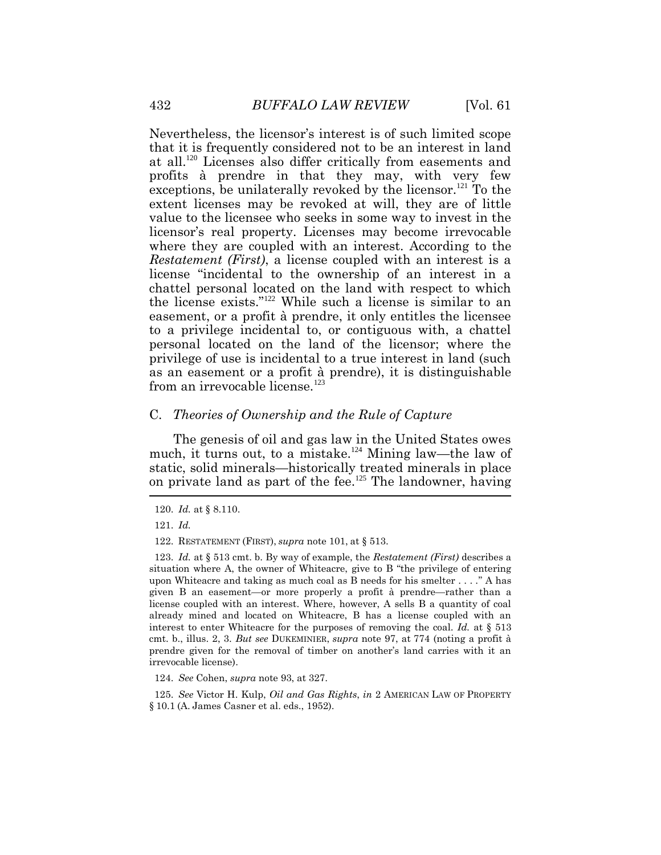Nevertheless, the licensor's interest is of such limited scope that it is frequently considered not to be an interest in land at all.<sup>120</sup> Licenses also differ critically from easements and profits à prendre in that they may, with very few exceptions, be unilaterally revoked by the licensor.<sup>121</sup> To the extent licenses may be revoked at will, they are of little value to the licensee who seeks in some way to invest in the licensor's real property. Licenses may become irrevocable where they are coupled with an interest. According to the *Restatement (First)*, a license coupled with an interest is a license "incidental to the ownership of an interest in a chattel personal located on the land with respect to which the license exists."<sup>122</sup> While such a license is similar to an easement, or a profit à prendre, it only entitles the licensee to a privilege incidental to, or contiguous with, a chattel personal located on the land of the licensor; where the privilege of use is incidental to a true interest in land (such as an easement or a profit à prendre), it is distinguishable from an irrevocable license.<sup>123</sup>

#### C. *Theories of Ownership and the Rule of Capture*

The genesis of oil and gas law in the United States owes much, it turns out, to a mistake.<sup>124</sup> Mining law—the law of static, solid minerals—historically treated minerals in place on private land as part of the fee. $125$  The landowner, having

123. *Id.* at § 513 cmt. b. By way of example, the *Restatement (First)* describes a situation where A, the owner of Whiteacre, give to B "the privilege of entering upon Whiteacre and taking as much coal as B needs for his smelter . . . ." A has given B an easement—or more properly a profit à prendre—rather than a license coupled with an interest. Where, however, A sells B a quantity of coal already mined and located on Whiteacre, B has a license coupled with an interest to enter Whiteacre for the purposes of removing the coal. *Id.* at § 513 cmt. b., illus. 2, 3. *But see* DUKEMINIER, *supra* note 97, at 774 (noting a profit à prendre given for the removal of timber on another's land carries with it an irrevocable license).

124. *See* Cohen, *supra* note 93, at 327.

125. *See* Victor H. Kulp, *Oil and Gas Rights*, *in* 2 AMERICAN LAW OF PROPERTY § 10.1 (A. James Casner et al. eds., 1952).

<sup>120.</sup> *Id.* at § 8.110.

<sup>121.</sup> *Id.* 

<sup>122.</sup> RESTATEMENT (FIRST), *supra* note 101, at § 513.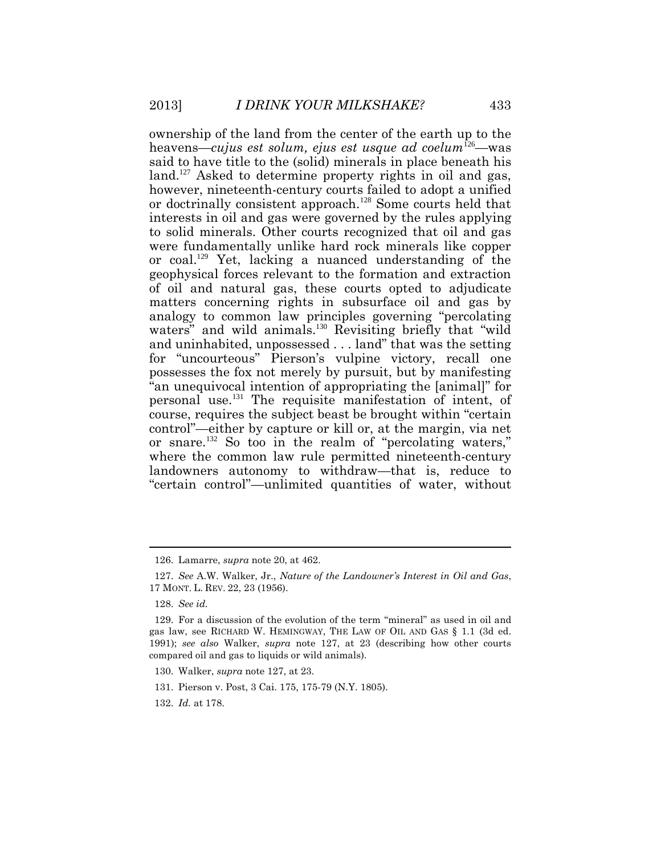ownership of the land from the center of the earth up to the heavens—*cujus est solum, ejus est usque ad coelum*<sup>126</sup>—was said to have title to the (solid) minerals in place beneath his land.<sup>127</sup> Asked to determine property rights in oil and gas, however, nineteenth-century courts failed to adopt a unified or doctrinally consistent approach.<sup>128</sup> Some courts held that interests in oil and gas were governed by the rules applying to solid minerals. Other courts recognized that oil and gas were fundamentally unlike hard rock minerals like copper or coal.<sup>129</sup> Yet, lacking a nuanced understanding of the geophysical forces relevant to the formation and extraction of oil and natural gas, these courts opted to adjudicate matters concerning rights in subsurface oil and gas by analogy to common law principles governing "percolating waters" and wild animals.<sup>130</sup> Revisiting briefly that "wild and uninhabited, unpossessed . . . land" that was the setting for "uncourteous" Pierson's vulpine victory, recall one possesses the fox not merely by pursuit, but by manifesting "an unequivocal intention of appropriating the [animal]" for personal use.<sup>131</sup> The requisite manifestation of intent, of course, requires the subject beast be brought within "certain control"—either by capture or kill or, at the margin, via net or snare.<sup>132</sup> So too in the realm of "percolating waters," where the common law rule permitted nineteenth-century landowners autonomy to withdraw—that is, reduce to "certain control"—unlimited quantities of water, without

<sup>126.</sup> Lamarre, *supra* note 20, at 462.

<sup>127.</sup> *See* A.W. Walker, Jr., *Nature of the Landowner's Interest in Oil and Gas*, 17 MONT. L. REV. 22, 23 (1956).

<sup>128.</sup> *See id.*

<sup>129.</sup> For a discussion of the evolution of the term "mineral" as used in oil and gas law, see RICHARD W. HEMINGWAY, THE LAW OF OIL AND GAS § 1.1 (3d ed. 1991); *see also* Walker, *supra* note 127, at 23 (describing how other courts compared oil and gas to liquids or wild animals).

<sup>130.</sup> Walker, *supra* note 127, at 23.

<sup>131.</sup> Pierson v. Post, 3 Cai. 175, 175-79 (N.Y. 1805).

<sup>132.</sup> *Id.* at 178.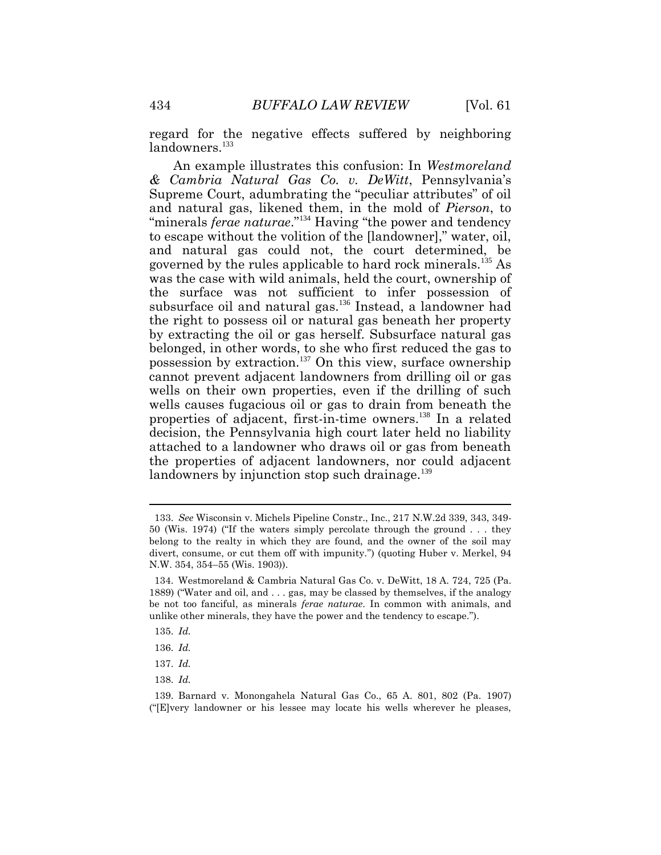regard for the negative effects suffered by neighboring landowners.<sup>133</sup>

An example illustrates this confusion: In *Westmoreland & Cambria Natural Gas Co. v. DeWitt*, Pennsylvania's Supreme Court, adumbrating the "peculiar attributes" of oil and natural gas, likened them, in the mold of *Pierson*, to "minerals *ferae naturae*."<sup>134</sup> Having "the power and tendency to escape without the volition of the [landowner]," water, oil, and natural gas could not, the court determined, be governed by the rules applicable to hard rock minerals.<sup>135</sup> As was the case with wild animals, held the court, ownership of the surface was not sufficient to infer possession of subsurface oil and natural gas.<sup>136</sup> Instead, a landowner had the right to possess oil or natural gas beneath her property by extracting the oil or gas herself. Subsurface natural gas belonged, in other words, to she who first reduced the gas to possession by extraction.<sup>137</sup> On this view, surface ownership cannot prevent adjacent landowners from drilling oil or gas wells on their own properties, even if the drilling of such wells causes fugacious oil or gas to drain from beneath the properties of adjacent, first-in-time owners.<sup>138</sup> In a related decision, the Pennsylvania high court later held no liability attached to a landowner who draws oil or gas from beneath the properties of adjacent landowners, nor could adjacent landowners by injunction stop such drainage.<sup>139</sup>

135. *Id.*

138. *Id.*

<sup>133.</sup> *See* Wisconsin v. Michels Pipeline Constr., Inc., 217 N.W.2d 339, 343, 349- 50 (Wis. 1974) ("If the waters simply percolate through the ground . . . they belong to the realty in which they are found, and the owner of the soil may divert, consume, or cut them off with impunity.") (quoting Huber v. Merkel, 94 N.W. 354, 354–55 (Wis. 1903)).

<sup>134.</sup> Westmoreland & Cambria Natural Gas Co. v. DeWitt, 18 A. 724, 725 (Pa. 1889) ("Water and oil, and . . . gas, may be classed by themselves, if the analogy be not too fanciful, as minerals *ferae naturae*. In common with animals, and unlike other minerals, they have the power and the tendency to escape.").

<sup>136.</sup> *Id.*

<sup>137.</sup> *Id.*

<sup>139.</sup> Barnard v. Monongahela Natural Gas Co., 65 A. 801, 802 (Pa. 1907) ("[E]very landowner or his lessee may locate his wells wherever he pleases,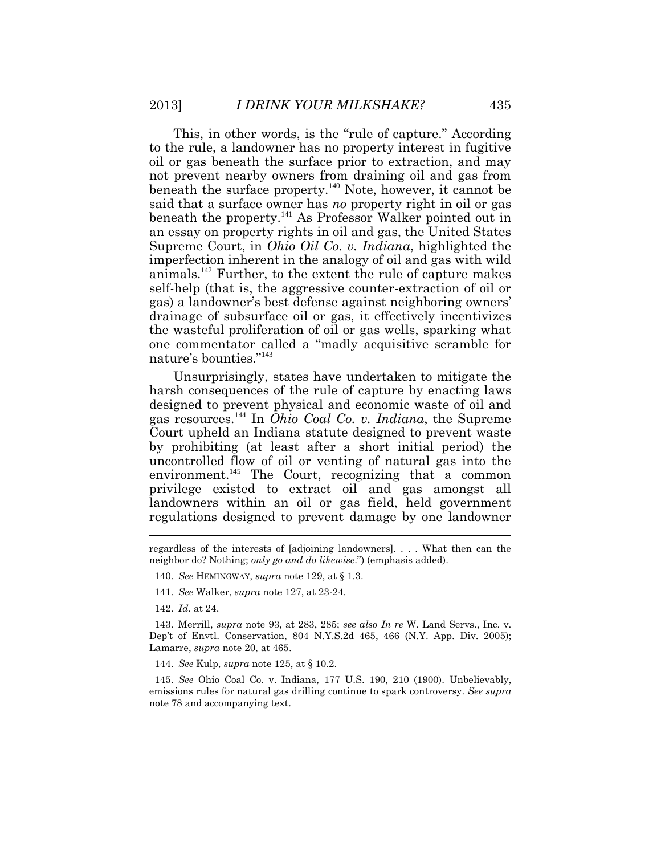This, in other words, is the "rule of capture." According to the rule, a landowner has no property interest in fugitive oil or gas beneath the surface prior to extraction, and may not prevent nearby owners from draining oil and gas from beneath the surface property.<sup>140</sup> Note, however, it cannot be said that a surface owner has *no* property right in oil or gas beneath the property.<sup>141</sup> As Professor Walker pointed out in an essay on property rights in oil and gas, the United States Supreme Court, in *Ohio Oil Co. v. Indiana*, highlighted the imperfection inherent in the analogy of oil and gas with wild animals.<sup>142</sup> Further, to the extent the rule of capture makes self-help (that is, the aggressive counter-extraction of oil or gas) a landowner's best defense against neighboring owners' drainage of subsurface oil or gas, it effectively incentivizes the wasteful proliferation of oil or gas wells, sparking what one commentator called a "madly acquisitive scramble for nature's bounties."<sup>143</sup>

Unsurprisingly, states have undertaken to mitigate the harsh consequences of the rule of capture by enacting laws designed to prevent physical and economic waste of oil and gas resources.<sup>144</sup> In *Ohio Coal Co. v. Indiana*, the Supreme Court upheld an Indiana statute designed to prevent waste by prohibiting (at least after a short initial period) the uncontrolled flow of oil or venting of natural gas into the environment.<sup>145</sup> The Court, recognizing that a common privilege existed to extract oil and gas amongst all landowners within an oil or gas field, held government regulations designed to prevent damage by one landowner

- 140. *See* HEMINGWAY, *supra* note 129, at § 1.3.
- 141. *See* Walker, *supra* note 127, at 23-24.
- 142. *Id.* at 24.

143. Merrill, *supra* note 93, at 283, 285; *see also In re* W. Land Servs., Inc. v. Dep't of Envtl. Conservation, 804 N.Y.S.2d 465, 466 (N.Y. App. Div. 2005); Lamarre, *supra* note 20, at 465.

144. *See* Kulp, *supra* note 125, at § 10.2.

145. *See* Ohio Coal Co. v. Indiana, 177 U.S. 190, 210 (1900). Unbelievably, emissions rules for natural gas drilling continue to spark controversy. *See supra* note 78 and accompanying text.

regardless of the interests of [adjoining landowners]. . . . What then can the neighbor do? Nothing; *only go and do likewise*.") (emphasis added).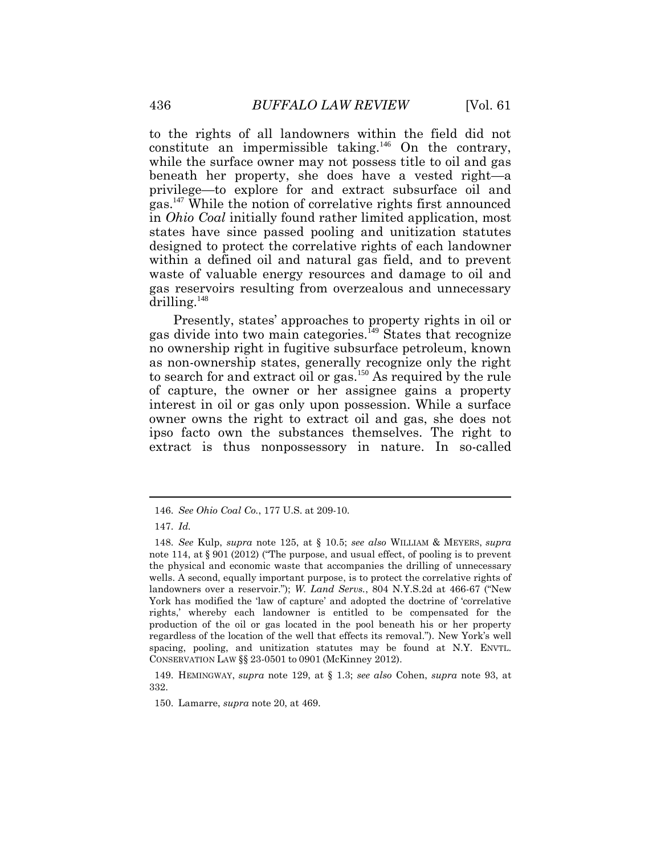to the rights of all landowners within the field did not constitute an impermissible taking.<sup>146</sup> On the contrary, while the surface owner may not possess title to oil and gas beneath her property, she does have a vested right—a privilege—to explore for and extract subsurface oil and gas.<sup>147</sup> While the notion of correlative rights first announced in *Ohio Coal* initially found rather limited application, most states have since passed pooling and unitization statutes designed to protect the correlative rights of each landowner within a defined oil and natural gas field, and to prevent waste of valuable energy resources and damage to oil and gas reservoirs resulting from overzealous and unnecessary drilling. $148$ 

Presently, states' approaches to property rights in oil or gas divide into two main categories.<sup>149</sup> States that recognize no ownership right in fugitive subsurface petroleum, known as non-ownership states, generally recognize only the right to search for and extract oil or gas.<sup>150</sup> As required by the rule of capture, the owner or her assignee gains a property interest in oil or gas only upon possession. While a surface owner owns the right to extract oil and gas, she does not ipso facto own the substances themselves. The right to extract is thus nonpossessory in nature. In so-called

149. HEMINGWAY, *supra* note 129, at § 1.3; *see also* Cohen, *supra* note 93, at 332.

150. Lamarre, *supra* note 20, at 469.

<sup>146.</sup> *See Ohio Coal Co.*, 177 U.S. at 209-10.

<sup>147.</sup> *Id.*

<sup>148.</sup> *See* Kulp, *supra* note 125, at § 10.5; *see also* WILLIAM & MEYERS, *supra* note 114, at § 901 (2012) ("The purpose, and usual effect, of pooling is to prevent the physical and economic waste that accompanies the drilling of unnecessary wells. A second, equally important purpose, is to protect the correlative rights of landowners over a reservoir."); *W. Land Servs.*, 804 N.Y.S.2d at 466-67 ("New York has modified the 'law of capture' and adopted the doctrine of 'correlative rights,' whereby each landowner is entitled to be compensated for the production of the oil or gas located in the pool beneath his or her property regardless of the location of the well that effects its removal."). New York's well spacing, pooling, and unitization statutes may be found at N.Y. ENVTL. CONSERVATION LAW §§ 23-0501 to 0901 (McKinney 2012).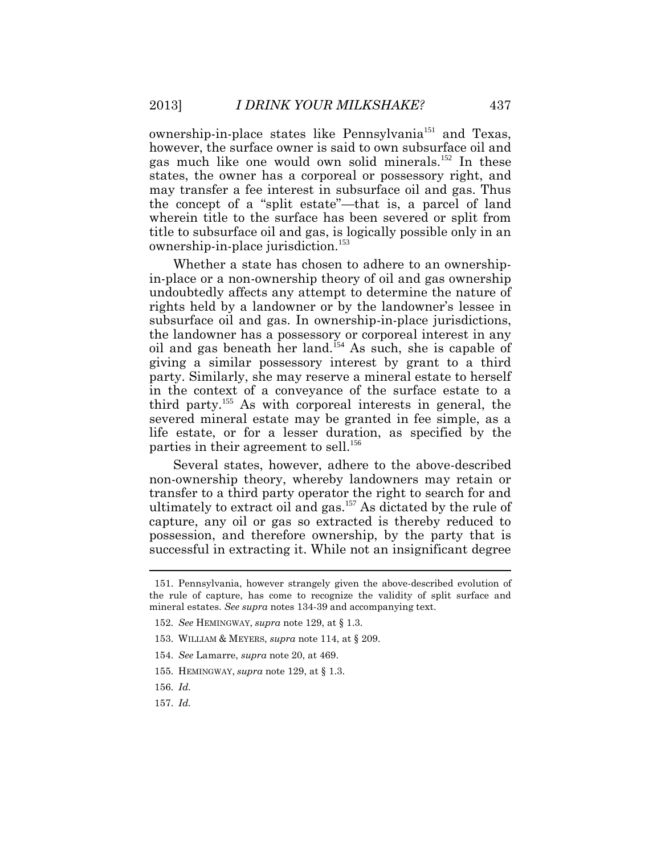ownership-in-place states like Pennsylvania<sup>151</sup> and Texas, however, the surface owner is said to own subsurface oil and gas much like one would own solid minerals.<sup>152</sup> In these states, the owner has a corporeal or possessory right, and may transfer a fee interest in subsurface oil and gas. Thus the concept of a "split estate"—that is, a parcel of land wherein title to the surface has been severed or split from title to subsurface oil and gas, is logically possible only in an ownership-in-place jurisdiction.<sup>153</sup>

Whether a state has chosen to adhere to an ownershipin-place or a non-ownership theory of oil and gas ownership undoubtedly affects any attempt to determine the nature of rights held by a landowner or by the landowner's lessee in subsurface oil and gas. In ownership-in-place jurisdictions, the landowner has a possessory or corporeal interest in any oil and gas beneath her land.<sup>154</sup> As such, she is capable of giving a similar possessory interest by grant to a third party. Similarly, she may reserve a mineral estate to herself in the context of a conveyance of the surface estate to a third party.<sup>155</sup> As with corporeal interests in general, the severed mineral estate may be granted in fee simple, as a life estate, or for a lesser duration, as specified by the parties in their agreement to sell.<sup>156</sup>

Several states, however, adhere to the above-described non-ownership theory, whereby landowners may retain or transfer to a third party operator the right to search for and ultimately to extract oil and gas.<sup>157</sup> As dictated by the rule of capture, any oil or gas so extracted is thereby reduced to possession, and therefore ownership, by the party that is successful in extracting it. While not an insignificant degree

157. *Id.*

<sup>151.</sup> Pennsylvania, however strangely given the above-described evolution of the rule of capture, has come to recognize the validity of split surface and mineral estates. *See supra* notes 134-39 and accompanying text.

<sup>152.</sup> *See* HEMINGWAY, *supra* note 129, at § 1.3.

<sup>153.</sup> WILLIAM & MEYERS, *supra* note 114, at § 209.

<sup>154.</sup> *See* Lamarre, *supra* note 20, at 469.

<sup>155.</sup> HEMINGWAY, *supra* note 129, at § 1.3.

<sup>156.</sup> *Id.*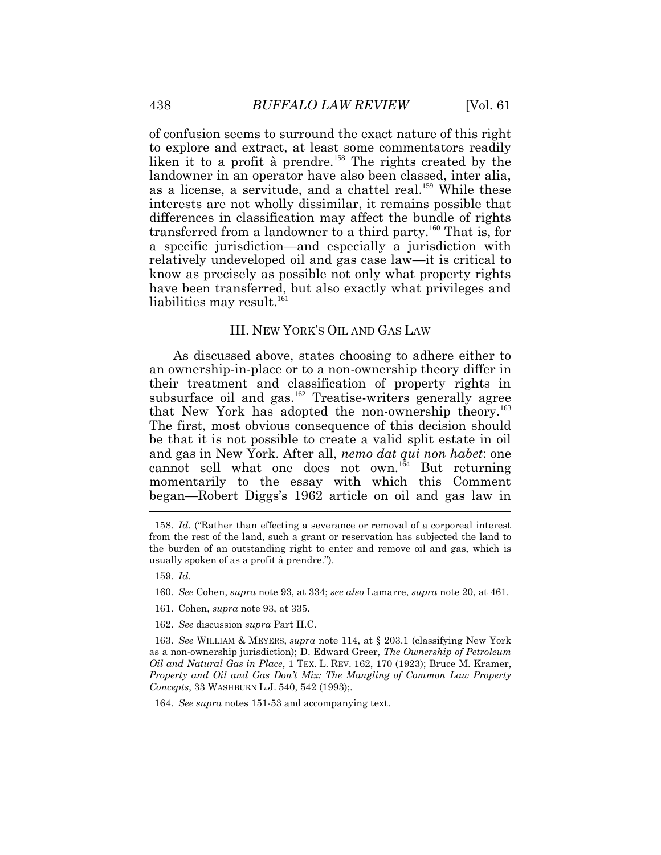of confusion seems to surround the exact nature of this right to explore and extract, at least some commentators readily liken it to a profit à prendre.<sup>158</sup> The rights created by the landowner in an operator have also been classed, inter alia, as a license, a servitude, and a chattel real.<sup>159</sup> While these interests are not wholly dissimilar, it remains possible that differences in classification may affect the bundle of rights transferred from a landowner to a third party.<sup>160</sup> That is, for a specific jurisdiction—and especially a jurisdiction with relatively undeveloped oil and gas case law—it is critical to know as precisely as possible not only what property rights have been transferred, but also exactly what privileges and liabilities may result. $^{161}$ 

#### III. NEW YORK'S OIL AND GAS LAW

As discussed above, states choosing to adhere either to an ownership-in-place or to a non-ownership theory differ in their treatment and classification of property rights in subsurface oil and gas.<sup>162</sup> Treatise-writers generally agree that New York has adopted the non-ownership theory.<sup>163</sup> The first, most obvious consequence of this decision should be that it is not possible to create a valid split estate in oil and gas in New York. After all, *nemo dat qui non habet*: one cannot sell what one does not own. $164}$  But returning momentarily to the essay with which this Comment began—Robert Diggs's 1962 article on oil and gas law in  $\tilde{a}$ 

159. *Id.* 

- 160. *See* Cohen, *supra* note 93, at 334; *see also* Lamarre, *supra* note 20, at 461.
- 161. Cohen, *supra* note 93, at 335.
- 162. *See* discussion *supra* Part II.C.

163. *See* WILLIAM & MEYERS, *supra* note 114, at § 203.1 (classifying New York as a non-ownership jurisdiction); D. Edward Greer, *The Ownership of Petroleum Oil and Natural Gas in Place*, 1 TEX. L. REV. 162, 170 (1923); Bruce M. Kramer, *Property and Oil and Gas Don't Mix: The Mangling of Common Law Property Concepts*, 33 WASHBURN L.J. 540, 542 (1993);.

164. *See supra* notes 151-53 and accompanying text.

<sup>158.</sup> *Id.* ("Rather than effecting a severance or removal of a corporeal interest from the rest of the land, such a grant or reservation has subjected the land to the burden of an outstanding right to enter and remove oil and gas, which is usually spoken of as a profit à prendre.").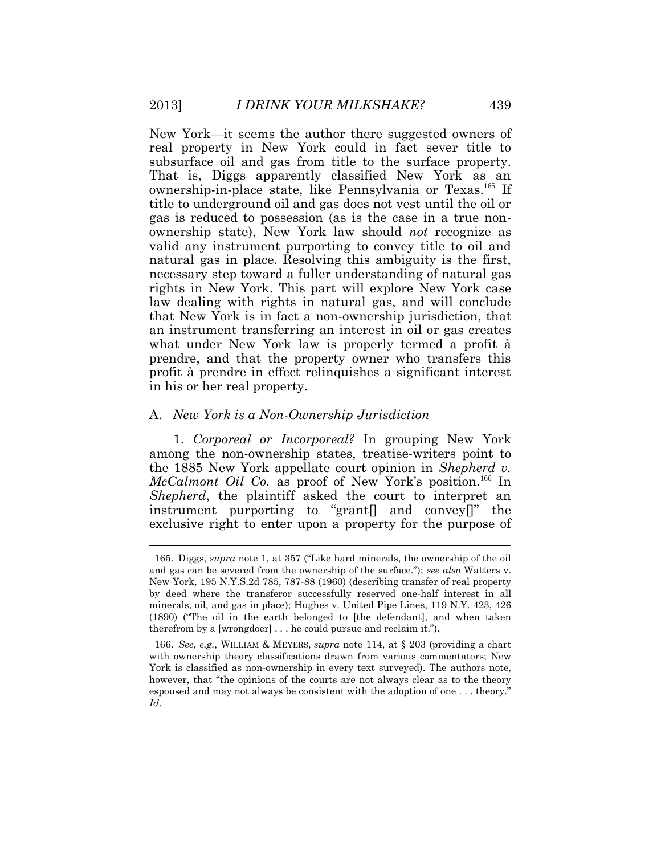New York—it seems the author there suggested owners of real property in New York could in fact sever title to subsurface oil and gas from title to the surface property. That is, Diggs apparently classified New York as an ownership-in-place state, like Pennsylvania or Texas.<sup>165</sup> If title to underground oil and gas does not vest until the oil or gas is reduced to possession (as is the case in a true nonownership state), New York law should *not* recognize as valid any instrument purporting to convey title to oil and natural gas in place. Resolving this ambiguity is the first, necessary step toward a fuller understanding of natural gas rights in New York. This part will explore New York case law dealing with rights in natural gas, and will conclude that New York is in fact a non-ownership jurisdiction, that an instrument transferring an interest in oil or gas creates what under New York law is properly termed a profit à prendre, and that the property owner who transfers this profit à prendre in effect relinquishes a significant interest in his or her real property.

#### A. *New York is a Non-Ownership Jurisdiction*

1. *Corporeal or Incorporeal?* In grouping New York among the non-ownership states, treatise-writers point to the 1885 New York appellate court opinion in *Shepherd v. McCalmont Oil Co.* as proof of New York's position.<sup>166</sup> In *Shepherd*, the plaintiff asked the court to interpret an instrument purporting to "grant[] and convey[]" the exclusive right to enter upon a property for the purpose of

<sup>165.</sup> Diggs, *supra* note 1, at 357 ("Like hard minerals, the ownership of the oil and gas can be severed from the ownership of the surface."); *see also* Watters v. New York, 195 N.Y.S.2d 785, 787-88 (1960) (describing transfer of real property by deed where the transferor successfully reserved one-half interest in all minerals, oil, and gas in place); Hughes v. United Pipe Lines, 119 N.Y. 423, 426 (1890) ("The oil in the earth belonged to [the defendant], and when taken therefrom by a [wrongdoer] . . . he could pursue and reclaim it.").

<sup>166.</sup> *See, e.g.*, WILLIAM & MEYERS, *supra* note 114, at § 203 (providing a chart with ownership theory classifications drawn from various commentators; New York is classified as non-ownership in every text surveyed). The authors note, however, that "the opinions of the courts are not always clear as to the theory espoused and may not always be consistent with the adoption of one . . . theory." *Id.*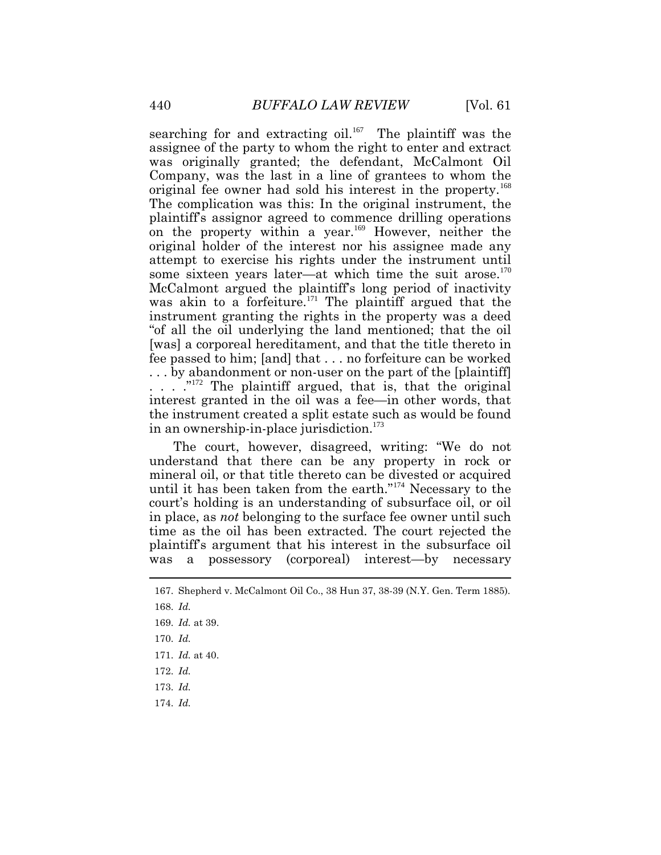searching for and extracting oil.<sup>167</sup> The plaintiff was the assignee of the party to whom the right to enter and extract was originally granted; the defendant, McCalmont Oil Company, was the last in a line of grantees to whom the original fee owner had sold his interest in the property.<sup>168</sup> The complication was this: In the original instrument, the plaintiff's assignor agreed to commence drilling operations on the property within a year.<sup>169</sup> However, neither the original holder of the interest nor his assignee made any attempt to exercise his rights under the instrument until some sixteen years later—at which time the suit arose.<sup>170</sup> McCalmont argued the plaintiff's long period of inactivity was akin to a forfeiture.<sup>171</sup> The plaintiff argued that the instrument granting the rights in the property was a deed "of all the oil underlying the land mentioned; that the oil [was] a corporeal hereditament, and that the title thereto in fee passed to him; [and] that . . . no forfeiture can be worked . . . by abandonment or non-user on the part of the [plaintiff] . . . ."<sup>172</sup> The plaintiff argued, that is, that the original interest granted in the oil was a fee—in other words, that the instrument created a split estate such as would be found in an ownership-in-place jurisdiction.<sup>173</sup>

The court, however, disagreed, writing: "We do not understand that there can be any property in rock or mineral oil, or that title thereto can be divested or acquired until it has been taken from the earth."<sup>174</sup> Necessary to the court's holding is an understanding of subsurface oil, or oil in place, as *not* belonging to the surface fee owner until such time as the oil has been extracted. The court rejected the plaintiff's argument that his interest in the subsurface oil was a possessory (corporeal) interest—by necessary

<sup>167.</sup> Shepherd v. McCalmont Oil Co., 38 Hun 37, 38-39 (N.Y. Gen. Term 1885).

<sup>168.</sup> *Id.*

<sup>169.</sup> *Id.* at 39.

<sup>170.</sup> *Id.*

<sup>171.</sup> *Id.* at 40.

<sup>172.</sup> *Id.*

<sup>173.</sup> *Id.*

<sup>174.</sup> *Id.*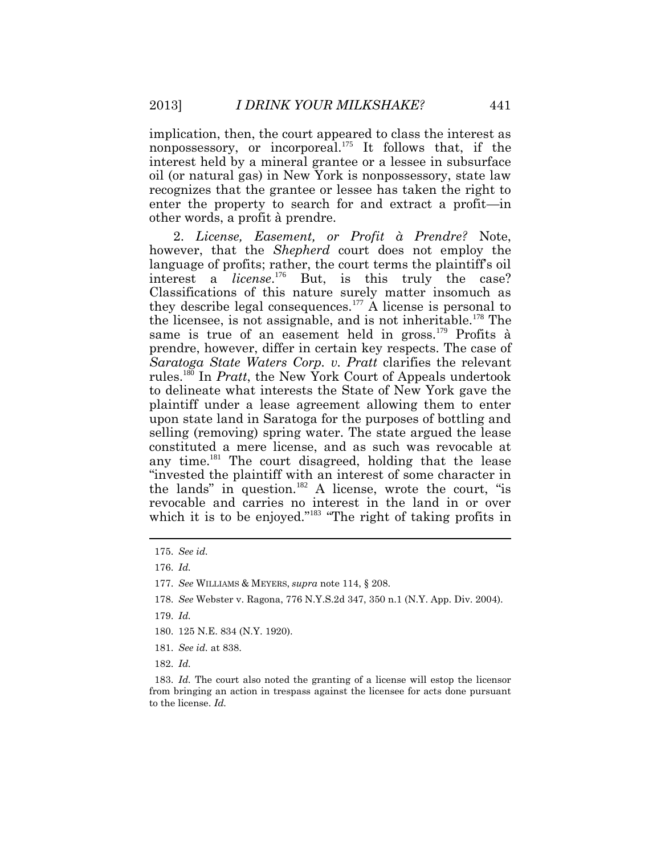implication, then, the court appeared to class the interest as nonpossessory, or incorporeal.<sup>175</sup> It follows that, if the interest held by a mineral grantee or a lessee in subsurface oil (or natural gas) in New York is nonpossessory, state law recognizes that the grantee or lessee has taken the right to enter the property to search for and extract a profit—in other words, a profit à prendre.

2. *License, Easement, or Profit à Prendre?* Note, however, that the *Shepherd* court does not employ the language of profits; rather, the court terms the plaintiff's oil interest a *license*. <sup>176</sup> But, is this truly the case? Classifications of this nature surely matter insomuch as they describe legal consequences.<sup>177</sup> A license is personal to the licensee, is not assignable, and is not inheritable.<sup>178</sup> The same is true of an easement held in gross.<sup>179</sup> Profits à prendre, however, differ in certain key respects. The case of *Saratoga State Waters Corp. v. Pratt* clarifies the relevant rules.<sup>180</sup> In *Pratt*, the New York Court of Appeals undertook to delineate what interests the State of New York gave the plaintiff under a lease agreement allowing them to enter upon state land in Saratoga for the purposes of bottling and selling (removing) spring water. The state argued the lease constituted a mere license, and as such was revocable at any time.<sup>181</sup> The court disagreed, holding that the lease "invested the plaintiff with an interest of some character in the lands" in question.<sup>182</sup> A license, wrote the court, "is revocable and carries no interest in the land in or over which it is to be enjoyed."<sup>183</sup> "The right of taking profits in

177. *See* WILLIAMS & MEYERS, *supra* note 114, § 208.

- 178. *See* Webster v. Ragona, 776 N.Y.S.2d 347, 350 n.1 (N.Y. App. Div. 2004).
- 179. *Id.*
- 180. 125 N.E. 834 (N.Y. 1920).
- 181. *See id.* at 838.
- 182. *Id.*

183. *Id.* The court also noted the granting of a license will estop the licensor from bringing an action in trespass against the licensee for acts done pursuant to the license. *Id.*

<sup>175.</sup> *See id.*

<sup>176.</sup> *Id.*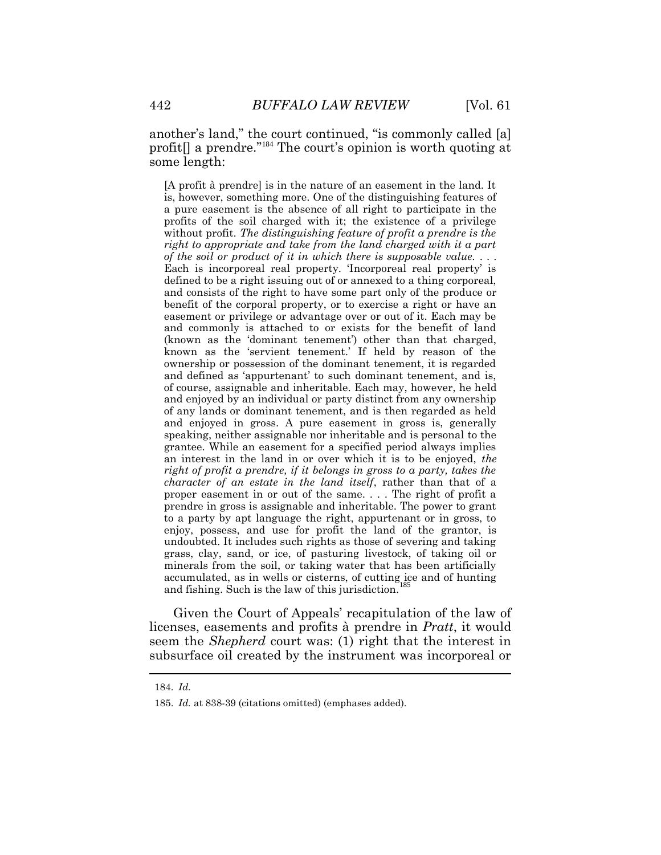another's land," the court continued, "is commonly called [a] profit[] a prendre."<sup>184</sup> The court's opinion is worth quoting at some length:

[A profit à prendre] is in the nature of an easement in the land. It is, however, something more. One of the distinguishing features of a pure easement is the absence of all right to participate in the profits of the soil charged with it; the existence of a privilege without profit. *The distinguishing feature of profit a prendre is the right to appropriate and take from the land charged with it a part of the soil or product of it in which there is supposable value.* . . . Each is incorporeal real property. 'Incorporeal real property' is defined to be a right issuing out of or annexed to a thing corporeal, and consists of the right to have some part only of the produce or benefit of the corporal property, or to exercise a right or have an easement or privilege or advantage over or out of it. Each may be and commonly is attached to or exists for the benefit of land (known as the 'dominant tenement') other than that charged, known as the 'servient tenement.' If held by reason of the ownership or possession of the dominant tenement, it is regarded and defined as 'appurtenant' to such dominant tenement, and is, of course, assignable and inheritable. Each may, however, he held and enjoyed by an individual or party distinct from any ownership of any lands or dominant tenement, and is then regarded as held and enjoyed in gross. A pure easement in gross is, generally speaking, neither assignable nor inheritable and is personal to the grantee. While an easement for a specified period always implies an interest in the land in or over which it is to be enjoyed, *the right of profit a prendre, if it belongs in gross to a party, takes the character of an estate in the land itself*, rather than that of a proper easement in or out of the same. . . . The right of profit a prendre in gross is assignable and inheritable. The power to grant to a party by apt language the right, appurtenant or in gross, to enjoy, possess, and use for profit the land of the grantor, is undoubted. It includes such rights as those of severing and taking grass, clay, sand, or ice, of pasturing livestock, of taking oil or minerals from the soil, or taking water that has been artificially accumulated, as in wells or cisterns, of cutting ice and of hunting and fishing. Such is the law of this jurisdiction.

Given the Court of Appeals' recapitulation of the law of licenses, easements and profits à prendre in *Pratt*, it would seem the *Shepherd* court was: (1) right that the interest in subsurface oil created by the instrument was incorporeal or

<sup>184.</sup> *Id.*

<sup>185.</sup> *Id.* at 838-39 (citations omitted) (emphases added).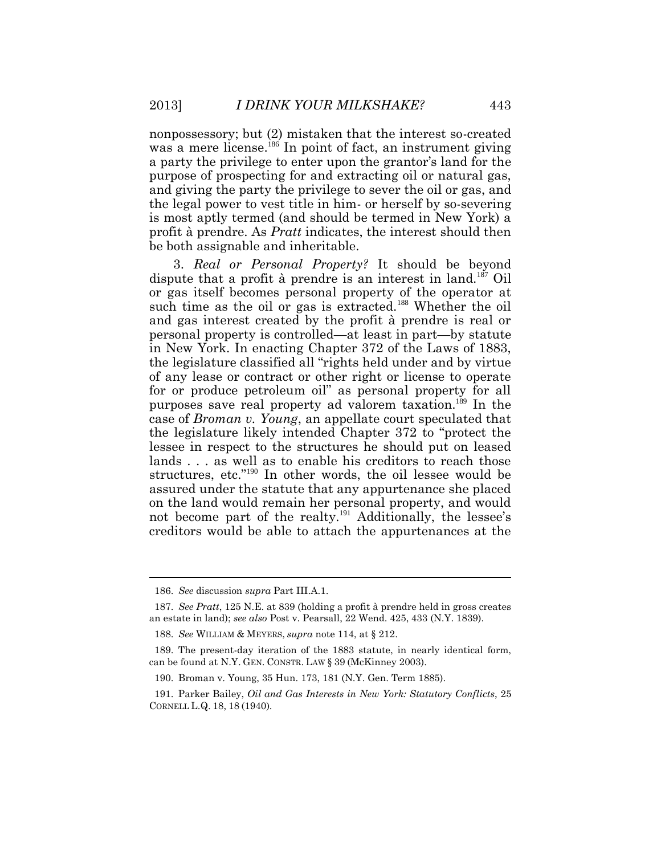nonpossessory; but (2) mistaken that the interest so-created was a mere license.<sup>186</sup> In point of fact, an instrument giving a party the privilege to enter upon the grantor's land for the purpose of prospecting for and extracting oil or natural gas, and giving the party the privilege to sever the oil or gas, and the legal power to vest title in him- or herself by so-severing is most aptly termed (and should be termed in New York) a profit à prendre. As *Pratt* indicates, the interest should then be both assignable and inheritable.

3. *Real or Personal Property?* It should be beyond dispute that a profit à prendre is an interest in land.<sup>187</sup> Oil or gas itself becomes personal property of the operator at such time as the oil or gas is extracted.<sup>188</sup> Whether the oil and gas interest created by the profit à prendre is real or personal property is controlled—at least in part—by statute in New York. In enacting Chapter 372 of the Laws of 1883, the legislature classified all "rights held under and by virtue of any lease or contract or other right or license to operate for or produce petroleum oil" as personal property for all purposes save real property ad valorem taxation.<sup>189</sup> In the case of *Broman v. Young*, an appellate court speculated that the legislature likely intended Chapter 372 to "protect the lessee in respect to the structures he should put on leased lands . . . as well as to enable his creditors to reach those structures, etc."<sup>190</sup> In other words, the oil lessee would be assured under the statute that any appurtenance she placed on the land would remain her personal property, and would not become part of the realty.<sup>191</sup> Additionally, the lessee's creditors would be able to attach the appurtenances at the

<sup>186.</sup> *See* discussion *supra* Part III.A.1.

<sup>187.</sup> *See Pratt*, 125 N.E. at 839 (holding a profit à prendre held in gross creates an estate in land); *see also* Post v. Pearsall, 22 Wend. 425, 433 (N.Y. 1839).

<sup>188.</sup> *See* WILLIAM & MEYERS, *supra* note 114, at § 212.

<sup>189.</sup> The present-day iteration of the 1883 statute, in nearly identical form, can be found at N.Y. GEN. CONSTR. LAW § 39 (McKinney 2003).

<sup>190.</sup> Broman v. Young, 35 Hun. 173, 181 (N.Y. Gen. Term 1885).

<sup>191.</sup> Parker Bailey, *Oil and Gas Interests in New York: Statutory Conflicts*, 25 CORNELL L.Q. 18, 18 (1940).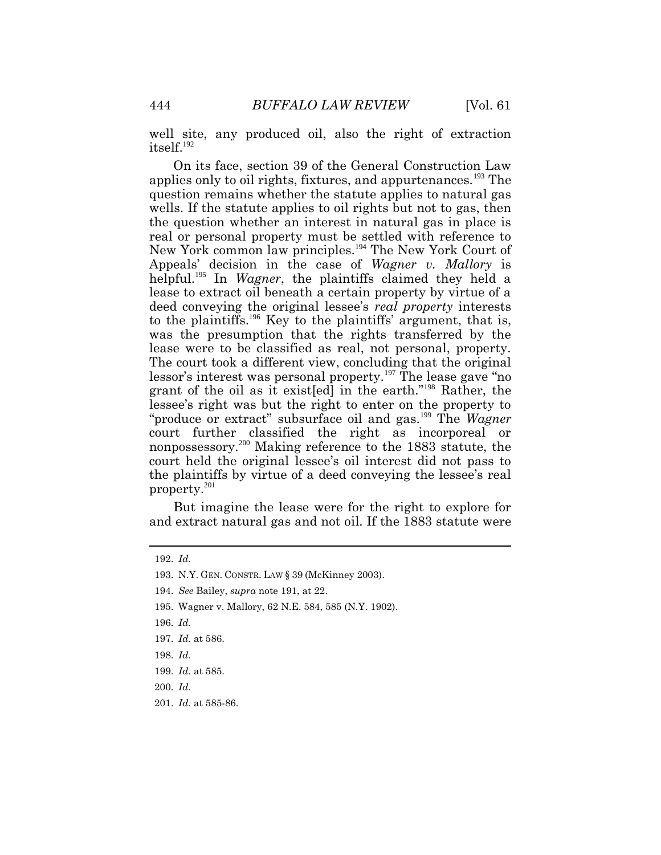well site, any produced oil, also the right of extraction itself.<sup>192</sup>

On its face, section 39 of the General Construction Law applies only to oil rights, fixtures, and appurtenances.<sup>193</sup> The question remains whether the statute applies to natural gas wells. If the statute applies to oil rights but not to gas, then the question whether an interest in natural gas in place is real or personal property must be settled with reference to New York common law principles.<sup>194</sup> The New York Court of Appeals' decision in the case of *Wagner v. Mallory* is helpful.<sup>195</sup> In *Wagner*, the plaintiffs claimed they held a lease to extract oil beneath a certain property by virtue of a deed conveying the original lessee's *real property* interests to the plaintiffs.<sup>196</sup> Key to the plaintiffs' argument, that is, was the presumption that the rights transferred by the lease were to be classified as real, not personal, property. The court took a different view, concluding that the original lessor's interest was personal property.<sup>197</sup> The lease gave "no grant of the oil as it exist[ed] in the earth."<sup>198</sup> Rather, the lessee's right was but the right to enter on the property to "produce or extract" subsurface oil and gas.<sup>199</sup> The *Wagner* court further classified the right as incorporeal or nonpossessory.<sup>200</sup> Making reference to the 1883 statute, the court held the original lessee's oil interest did not pass to the plaintiffs by virtue of a deed conveying the lessee's real property.<sup>201</sup>

But imagine the lease were for the right to explore for and extract natural gas and not oil. If the 1883 statute were

<sup>192.</sup> *Id.*

<sup>193.</sup> N.Y. GEN. CONSTR. LAW § 39 (McKinney 2003).

<sup>194.</sup> *See* Bailey, *supra* note 191, at 22.

<sup>195.</sup> Wagner v. Mallory, 62 N.E. 584, 585 (N.Y. 1902).

<sup>196.</sup> *Id.*

<sup>197.</sup> *Id.* at 586.

<sup>198.</sup> *Id.*

<sup>199.</sup> *Id.* at 585.

<sup>200.</sup> *Id.*

<sup>201.</sup> *Id.* at 585-86.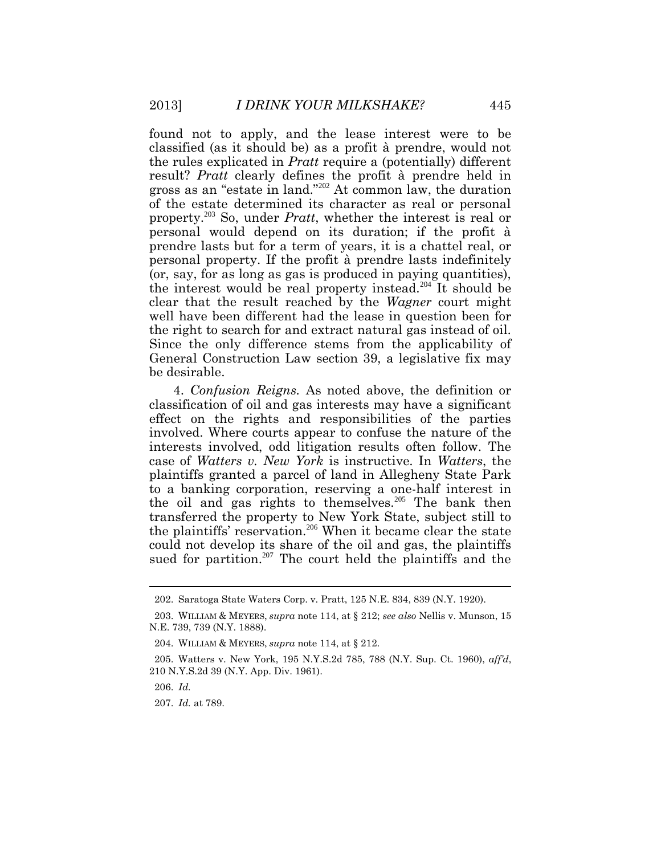found not to apply, and the lease interest were to be classified (as it should be) as a profit à prendre, would not the rules explicated in *Pratt* require a (potentially) different result? *Pratt* clearly defines the profit à prendre held in gross as an "estate in land."<sup>202</sup> At common law, the duration of the estate determined its character as real or personal property.<sup>203</sup> So, under *Pratt*, whether the interest is real or personal would depend on its duration; if the profit à prendre lasts but for a term of years, it is a chattel real, or personal property. If the profit à prendre lasts indefinitely (or, say, for as long as gas is produced in paying quantities), the interest would be real property instead.<sup>204</sup> It should be clear that the result reached by the *Wagner* court might well have been different had the lease in question been for the right to search for and extract natural gas instead of oil. Since the only difference stems from the applicability of General Construction Law section 39, a legislative fix may be desirable.

4. *Confusion Reigns.* As noted above, the definition or classification of oil and gas interests may have a significant effect on the rights and responsibilities of the parties involved. Where courts appear to confuse the nature of the interests involved, odd litigation results often follow. The case of *Watters v. New York* is instructive. In *Watters*, the plaintiffs granted a parcel of land in Allegheny State Park to a banking corporation, reserving a one-half interest in the oil and gas rights to themselves.<sup>205</sup> The bank then transferred the property to New York State, subject still to the plaintiffs' reservation.<sup>206</sup> When it became clear the state could not develop its share of the oil and gas, the plaintiffs sued for partition.<sup>207</sup> The court held the plaintiffs and the

<sup>202.</sup> Saratoga State Waters Corp. v. Pratt, 125 N.E. 834, 839 (N.Y. 1920).

<sup>203.</sup> WILLIAM & MEYERS, *supra* note 114, at § 212; *see also* Nellis v. Munson, 15 N.E. 739, 739 (N.Y. 1888).

<sup>204.</sup> WILLIAM & MEYERS, *supra* note 114, at § 212.

<sup>205.</sup> Watters v. New York, 195 N.Y.S.2d 785, 788 (N.Y. Sup. Ct. 1960), *aff'd*, 210 N.Y.S.2d 39 (N.Y. App. Div. 1961).

<sup>206.</sup> *Id.*

<sup>207.</sup> *Id.* at 789.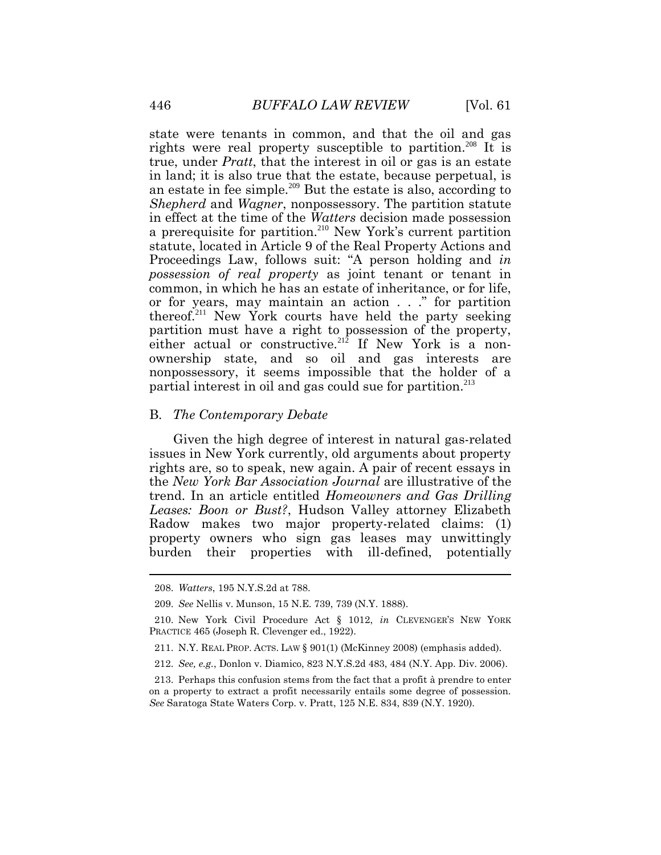state were tenants in common, and that the oil and gas rights were real property susceptible to partition.<sup>208</sup> It is true, under *Pratt*, that the interest in oil or gas is an estate in land; it is also true that the estate, because perpetual, is an estate in fee simple.<sup>209</sup> But the estate is also, according to *Shepherd* and *Wagner*, nonpossessory. The partition statute in effect at the time of the *Watters* decision made possession a prerequisite for partition.<sup>210</sup> New York's current partition statute, located in Article 9 of the Real Property Actions and Proceedings Law, follows suit: "A person holding and *in possession of real property* as joint tenant or tenant in common, in which he has an estate of inheritance, or for life, or for years, may maintain an action . . ." for partition thereof.<sup>211</sup> New York courts have held the party seeking partition must have a right to possession of the property, either actual or constructive.<sup>212</sup> If New York is a nonownership state, and so oil and gas interests are nonpossessory, it seems impossible that the holder of a partial interest in oil and gas could sue for partition.<sup>213</sup>

#### B. *The Contemporary Debate*

Given the high degree of interest in natural gas-related issues in New York currently, old arguments about property rights are, so to speak, new again. A pair of recent essays in the *New York Bar Association Journal* are illustrative of the trend. In an article entitled *Homeowners and Gas Drilling Leases: Boon or Bust?*, Hudson Valley attorney Elizabeth Radow makes two major property-related claims: (1) property owners who sign gas leases may unwittingly burden their properties with ill-defined, potentially

 $\overline{a}$ 

<sup>208.</sup> *Watters*, 195 N.Y.S.2d at 788.

<sup>209.</sup> *See* Nellis v. Munson, 15 N.E. 739, 739 (N.Y. 1888).

<sup>210.</sup> New York Civil Procedure Act § 1012, *in* CLEVENGER'S NEW YORK PRACTICE 465 (Joseph R. Clevenger ed., 1922).

<sup>211.</sup> N.Y. REAL PROP. ACTS. LAW § 901(1) (McKinney 2008) (emphasis added).

<sup>212.</sup> *See, e.g.*, Donlon v. Diamico, 823 N.Y.S.2d 483, 484 (N.Y. App. Div. 2006).

<sup>213.</sup> Perhaps this confusion stems from the fact that a profit à prendre to enter on a property to extract a profit necessarily entails some degree of possession. *See* Saratoga State Waters Corp. v. Pratt, 125 N.E. 834, 839 (N.Y. 1920).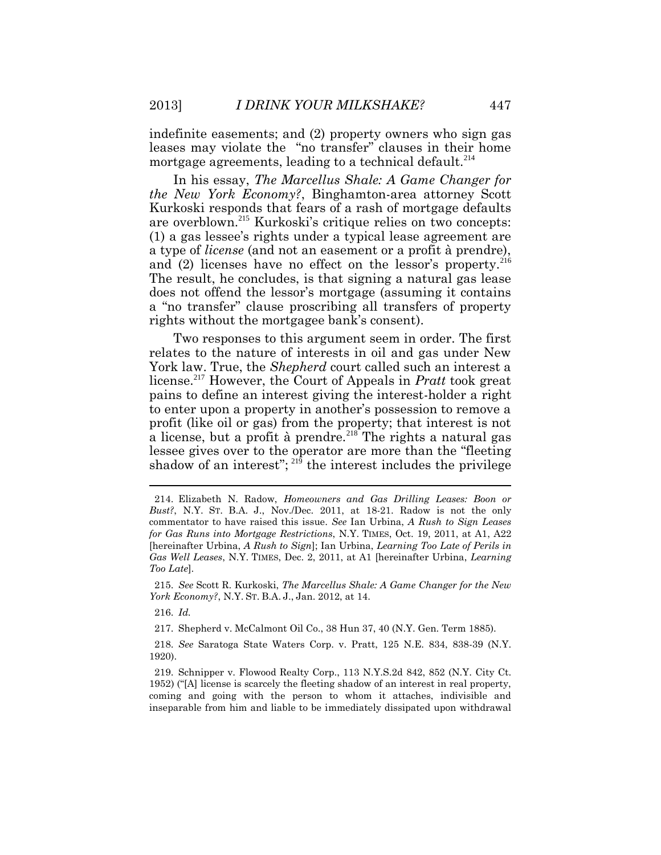indefinite easements; and (2) property owners who sign gas leases may violate the "no transfer" clauses in their home mortgage agreements, leading to a technical default.<sup>214</sup>

In his essay, *The Marcellus Shale: A Game Changer for the New York Economy?*, Binghamton-area attorney Scott Kurkoski responds that fears of a rash of mortgage defaults are overblown.<sup>215</sup> Kurkoski's critique relies on two concepts: (1) a gas lessee's rights under a typical lease agreement are a type of *license* (and not an easement or a profit à prendre), and  $(2)$  licenses have no effect on the lessor's property.<sup>216</sup> The result, he concludes, is that signing a natural gas lease does not offend the lessor's mortgage (assuming it contains a "no transfer" clause proscribing all transfers of property rights without the mortgagee bank's consent).

Two responses to this argument seem in order. The first relates to the nature of interests in oil and gas under New York law. True, the *Shepherd* court called such an interest a license.<sup>217</sup> However, the Court of Appeals in *Pratt* took great pains to define an interest giving the interest-holder a right to enter upon a property in another's possession to remove a profit (like oil or gas) from the property; that interest is not a license, but a profit à prendre.<sup>218</sup> The rights a natural gas lessee gives over to the operator are more than the "fleeting shadow of an interest";  $^{219}$  the interest includes the privilege

215. *See* Scott R. Kurkoski, *The Marcellus Shale: A Game Changer for the New York Economy?*, N.Y. ST. B.A. J., Jan. 2012, at 14.

216. *Id.*

217. Shepherd v. McCalmont Oil Co., 38 Hun 37, 40 (N.Y. Gen. Term 1885).

218. *See* Saratoga State Waters Corp. v. Pratt, 125 N.E. 834, 838-39 (N.Y. 1920).

219. Schnipper v. Flowood Realty Corp., 113 N.Y.S.2d 842, 852 (N.Y. City Ct. 1952) ("[A] license is scarcely the fleeting shadow of an interest in real property, coming and going with the person to whom it attaches, indivisible and inseparable from him and liable to be immediately dissipated upon withdrawal

<sup>214.</sup> Elizabeth N. Radow, *Homeowners and Gas Drilling Leases: Boon or Bust?*, N.Y. ST. B.A. J., Nov./Dec. 2011, at 18-21. Radow is not the only commentator to have raised this issue. *See* Ian Urbina, *A Rush to Sign Leases for Gas Runs into Mortgage Restrictions*, N.Y. TIMES, Oct. 19, 2011, at A1, A22 [hereinafter Urbina, *A Rush to Sign*]; Ian Urbina, *Learning Too Late of Perils in Gas Well Leases*, N.Y. TIMES, Dec. 2, 2011, at A1 [hereinafter Urbina, *Learning Too Late*].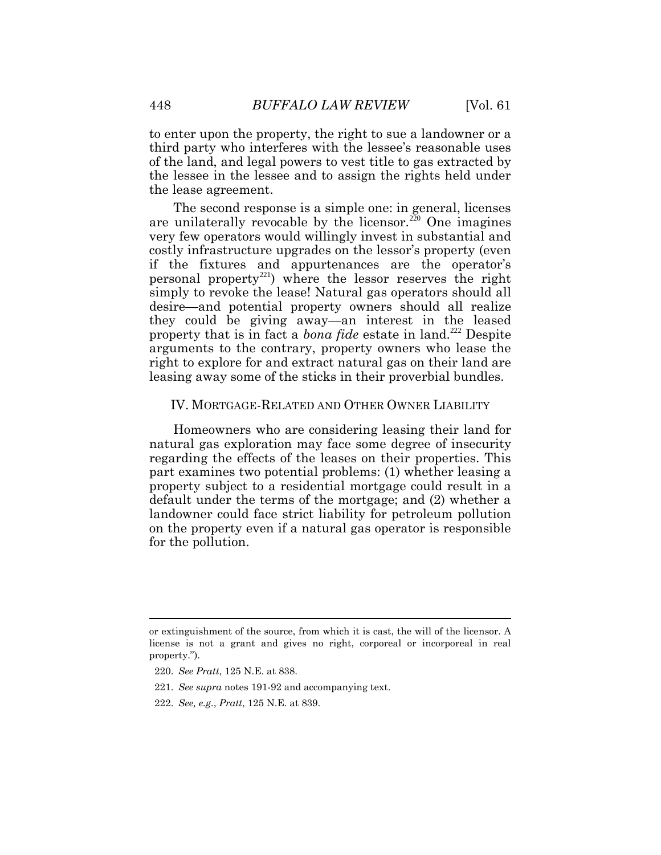to enter upon the property, the right to sue a landowner or a third party who interferes with the lessee's reasonable uses of the land, and legal powers to vest title to gas extracted by the lessee in the lessee and to assign the rights held under the lease agreement.

The second response is a simple one: in general, licenses are unilaterally revocable by the licensor.<sup>220</sup> One imagines very few operators would willingly invest in substantial and costly infrastructure upgrades on the lessor's property (even if the fixtures and appurtenances are the operator's personal property<sup>221</sup>) where the lessor reserves the right simply to revoke the lease! Natural gas operators should all desire—and potential property owners should all realize they could be giving away—an interest in the leased property that is in fact a *bona fide* estate in land.<sup>222</sup> Despite arguments to the contrary, property owners who lease the right to explore for and extract natural gas on their land are leasing away some of the sticks in their proverbial bundles.

#### IV. MORTGAGE-RELATED AND OTHER OWNER LIABILITY

Homeowners who are considering leasing their land for natural gas exploration may face some degree of insecurity regarding the effects of the leases on their properties. This part examines two potential problems: (1) whether leasing a property subject to a residential mortgage could result in a default under the terms of the mortgage; and (2) whether a landowner could face strict liability for petroleum pollution on the property even if a natural gas operator is responsible for the pollution.

 $\overline{a}$ 

or extinguishment of the source, from which it is cast, the will of the licensor. A license is not a grant and gives no right, corporeal or incorporeal in real property.").

<sup>220.</sup> *See Pratt*, 125 N.E. at 838.

<sup>221.</sup> *See supra* notes 191-92 and accompanying text.

<sup>222.</sup> *See, e.g.*, *Pratt*, 125 N.E. at 839.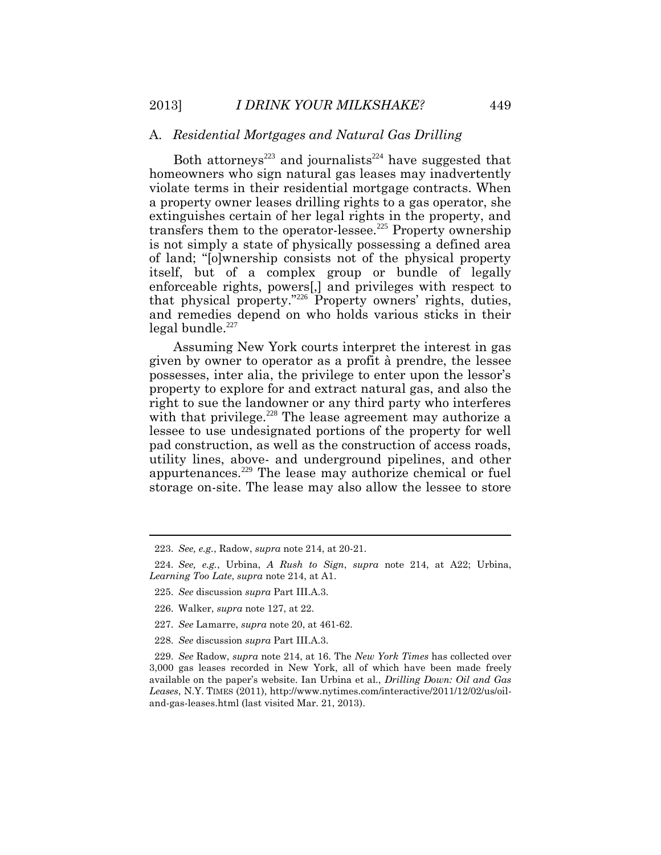#### A. *Residential Mortgages and Natural Gas Drilling*

Both attorneys<sup>223</sup> and journalists<sup>224</sup> have suggested that homeowners who sign natural gas leases may inadvertently violate terms in their residential mortgage contracts. When a property owner leases drilling rights to a gas operator, she extinguishes certain of her legal rights in the property, and transfers them to the operator-lessee.<sup>225</sup> Property ownership is not simply a state of physically possessing a defined area of land; "[o]wnership consists not of the physical property itself, but of a complex group or bundle of legally enforceable rights, powers[,] and privileges with respect to that physical property."<sup>226</sup> Property owners' rights, duties, and remedies depend on who holds various sticks in their legal bundle.<sup>227</sup>

Assuming New York courts interpret the interest in gas given by owner to operator as a profit à prendre, the lessee possesses, inter alia, the privilege to enter upon the lessor's property to explore for and extract natural gas, and also the right to sue the landowner or any third party who interferes with that privilege.<sup>228</sup> The lease agreement may authorize a lessee to use undesignated portions of the property for well pad construction, as well as the construction of access roads, utility lines, above- and underground pipelines, and other appurtenances.<sup>229</sup> The lease may authorize chemical or fuel storage on-site. The lease may also allow the lessee to store

227. *See* Lamarre, *supra* note 20, at 461-62.

 $\overline{a}$ 

<sup>223.</sup> *See, e.g.*, Radow, *supra* note 214, at 20-21.

<sup>224.</sup> *See, e.g.*, Urbina, *A Rush to Sign*, *supra* note 214, at A22; Urbina, *Learning Too Late*, *supra* note 214, at A1.

<sup>225.</sup> *See* discussion *supra* Part III.A.3.

<sup>226.</sup> Walker, *supra* note 127, at 22.

<sup>228.</sup> *See* discussion *supra* Part III.A.3.

<sup>229.</sup> *See* Radow, *supra* note 214, at 16. The *New York Times* has collected over 3,000 gas leases recorded in New York, all of which have been made freely available on the paper's website. Ian Urbina et al., *Drilling Down: Oil and Gas Leases*, N.Y. TIMES (2011), http://www.nytimes.com/interactive/2011/12/02/us/oiland-gas-leases.html (last visited Mar. 21, 2013).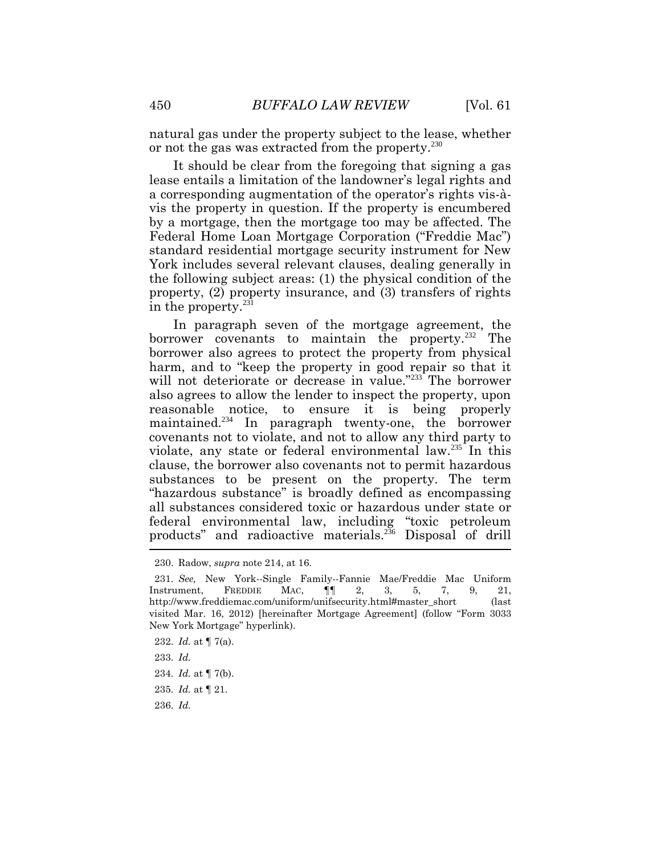natural gas under the property subject to the lease, whether or not the gas was extracted from the property.<sup>230</sup>

It should be clear from the foregoing that signing a gas lease entails a limitation of the landowner's legal rights and a corresponding augmentation of the operator's rights vis-àvis the property in question. If the property is encumbered by a mortgage, then the mortgage too may be affected. The Federal Home Loan Mortgage Corporation ("Freddie Mac") standard residential mortgage security instrument for New York includes several relevant clauses, dealing generally in the following subject areas: (1) the physical condition of the property, (2) property insurance, and (3) transfers of rights in the property. $^{231}$ 

In paragraph seven of the mortgage agreement, the borrower covenants to maintain the property.<sup>232</sup> The borrower also agrees to protect the property from physical harm, and to "keep the property in good repair so that it will not deteriorate or decrease in value."<sup>233</sup> The borrower also agrees to allow the lender to inspect the property, upon reasonable notice, to ensure it is being properly maintained.<sup>234</sup> In paragraph twenty-one, the borrower covenants not to violate, and not to allow any third party to violate, any state or federal environmental law.<sup>235</sup> In this clause, the borrower also covenants not to permit hazardous substances to be present on the property. The term "hazardous substance" is broadly defined as encompassing all substances considered toxic or hazardous under state or federal environmental law, including "toxic petroleum products" and radioactive materials.<sup>236</sup> Disposal of drill

<sup>230.</sup> Radow, *supra* note 214, at 16.

<sup>231.</sup> *See,* New York--Single Family--Fannie Mae/Freddie Mac Uniform Instrument, FREDDIE MAC, ¶¶ 2, 3, 5, 7, 9, 21, http://www.freddiemac.com/uniform/unifsecurity.html#master\_short (last visited Mar. 16, 2012) [hereinafter Mortgage Agreement] (follow "Form 3033 New York Mortgage" hyperlink).

<sup>232.</sup> *Id.* at ¶ 7(a).

<sup>233.</sup> *Id.*

<sup>234.</sup> *Id.* at ¶ 7(b).

<sup>235.</sup> *Id.* at ¶ 21.

<sup>236.</sup> *Id.*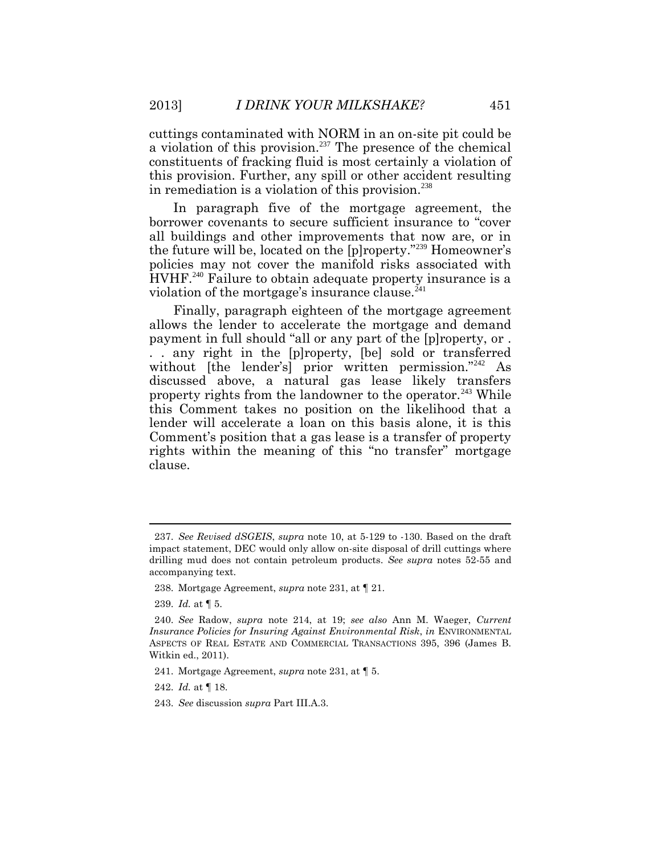cuttings contaminated with NORM in an on-site pit could be a violation of this provision.<sup>237</sup> The presence of the chemical constituents of fracking fluid is most certainly a violation of this provision. Further, any spill or other accident resulting in remediation is a violation of this provision.<sup>238</sup>

In paragraph five of the mortgage agreement, the borrower covenants to secure sufficient insurance to "cover all buildings and other improvements that now are, or in the future will be, located on the [p]roperty."<sup>239</sup> Homeowner's policies may not cover the manifold risks associated with HVHF.<sup>240</sup> Failure to obtain adequate property insurance is a violation of the mortgage's insurance clause. $^{241}$ 

Finally, paragraph eighteen of the mortgage agreement allows the lender to accelerate the mortgage and demand payment in full should "all or any part of the [p]roperty, or . . . any right in the [p]roperty, [be] sold or transferred without [the lender's] prior written permission."<sup>242</sup> As discussed above, a natural gas lease likely transfers property rights from the landowner to the operator.<sup>243</sup> While this Comment takes no position on the likelihood that a lender will accelerate a loan on this basis alone, it is this Comment's position that a gas lease is a transfer of property rights within the meaning of this "no transfer" mortgage clause.

238. Mortgage Agreement, *supra* note 231, at ¶ 21.

<sup>237.</sup> *See Revised dSGEIS*, *supra* note 10, at 5-129 to -130. Based on the draft impact statement, DEC would only allow on-site disposal of drill cuttings where drilling mud does not contain petroleum products. *See supra* notes 52-55 and accompanying text.

<sup>239.</sup> *Id.* at ¶ 5.

<sup>240.</sup> *See* Radow, *supra* note 214, at 19; *see also* Ann M. Waeger, *Current Insurance Policies for Insuring Against Environmental Risk*, *in* ENVIRONMENTAL ASPECTS OF REAL ESTATE AND COMMERCIAL TRANSACTIONS 395, 396 (James B. Witkin ed., 2011).

<sup>241.</sup> Mortgage Agreement, *supra* note 231, at ¶ 5.

<sup>242.</sup> *Id.* at ¶ 18.

<sup>243.</sup> *See* discussion *supra* Part III.A.3.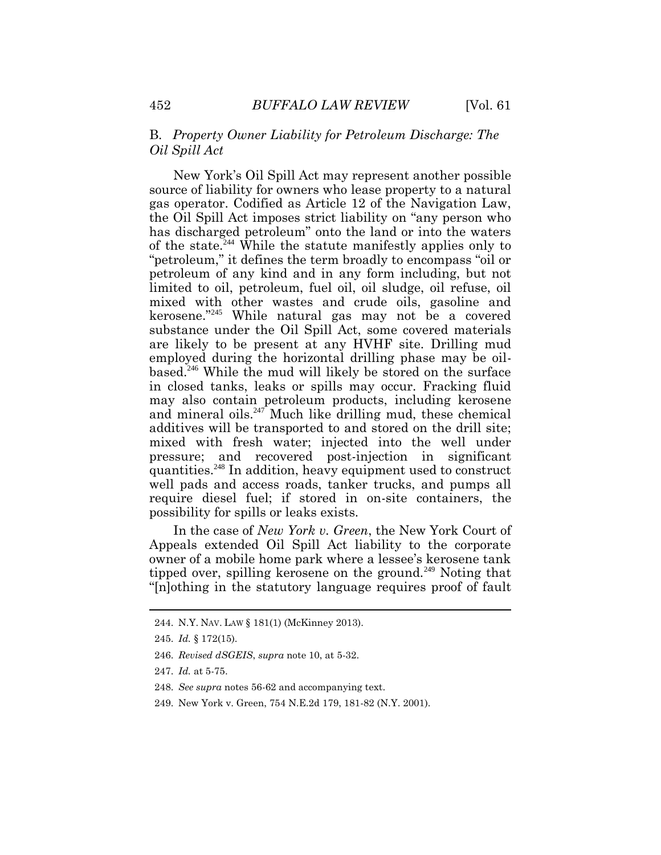### B. *Property Owner Liability for Petroleum Discharge: The Oil Spill Act*

New York's Oil Spill Act may represent another possible source of liability for owners who lease property to a natural gas operator. Codified as Article 12 of the Navigation Law, the Oil Spill Act imposes strict liability on "any person who has discharged petroleum" onto the land or into the waters of the state.<sup>244</sup> While the statute manifestly applies only to "petroleum," it defines the term broadly to encompass "oil or petroleum of any kind and in any form including, but not limited to oil, petroleum, fuel oil, oil sludge, oil refuse, oil mixed with other wastes and crude oils, gasoline and kerosene."<sup>245</sup> While natural gas may not be a covered substance under the Oil Spill Act, some covered materials are likely to be present at any HVHF site. Drilling mud employed during the horizontal drilling phase may be oilbased.<sup>246</sup> While the mud will likely be stored on the surface in closed tanks, leaks or spills may occur. Fracking fluid may also contain petroleum products, including kerosene and mineral oils. $247$  Much like drilling mud, these chemical additives will be transported to and stored on the drill site; mixed with fresh water; injected into the well under pressure; and recovered post-injection in significant quantities.<sup>248</sup> In addition, heavy equipment used to construct well pads and access roads, tanker trucks, and pumps all require diesel fuel; if stored in on-site containers, the possibility for spills or leaks exists.

In the case of *New York v. Green*, the New York Court of Appeals extended Oil Spill Act liability to the corporate owner of a mobile home park where a lessee's kerosene tank tipped over, spilling kerosene on the ground.<sup>249</sup> Noting that "[n]othing in the statutory language requires proof of fault

<sup>244.</sup> N.Y. NAV. LAW § 181(1) (McKinney 2013).

<sup>245.</sup> *Id.* § 172(15).

<sup>246.</sup> *Revised dSGEIS*, *supra* note 10, at 5-32.

<sup>247.</sup> *Id.* at 5-75.

<sup>248.</sup> *See supra* notes 56-62 and accompanying text.

<sup>249.</sup> New York v. Green, 754 N.E.2d 179, 181-82 (N.Y. 2001).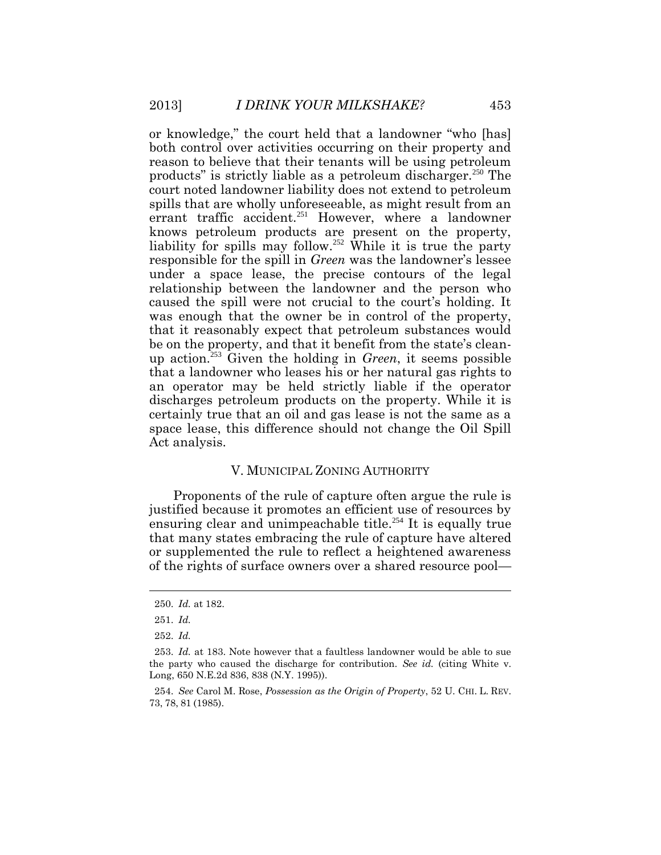or knowledge," the court held that a landowner "who [has] both control over activities occurring on their property and reason to believe that their tenants will be using petroleum products" is strictly liable as a petroleum discharger.<sup>250</sup> The court noted landowner liability does not extend to petroleum spills that are wholly unforeseeable, as might result from an errant traffic accident.<sup>251</sup> However, where a landowner knows petroleum products are present on the property, liability for spills may follow.<sup>252</sup> While it is true the party responsible for the spill in *Green* was the landowner's lessee under a space lease, the precise contours of the legal relationship between the landowner and the person who caused the spill were not crucial to the court's holding. It was enough that the owner be in control of the property, that it reasonably expect that petroleum substances would be on the property, and that it benefit from the state's cleanup action.<sup>253</sup> Given the holding in *Green*, it seems possible that a landowner who leases his or her natural gas rights to an operator may be held strictly liable if the operator discharges petroleum products on the property. While it is certainly true that an oil and gas lease is not the same as a space lease, this difference should not change the Oil Spill Act analysis.

#### V. MUNICIPAL ZONING AUTHORITY

Proponents of the rule of capture often argue the rule is justified because it promotes an efficient use of resources by ensuring clear and unimpeachable title.<sup>254</sup> It is equally true that many states embracing the rule of capture have altered or supplemented the rule to reflect a heightened awareness of the rights of surface owners over a shared resource pool—

<sup>250.</sup> *Id.* at 182.

<sup>251.</sup> *Id.* 

<sup>252.</sup> *Id.* 

<sup>253.</sup> *Id.* at 183. Note however that a faultless landowner would be able to sue the party who caused the discharge for contribution. *See id.* (citing White v. Long, 650 N.E.2d 836, 838 (N.Y. 1995)).

<sup>254.</sup> *See* Carol M. Rose, *Possession as the Origin of Property*, 52 U. CHI. L. REV. 73, 78, 81 (1985).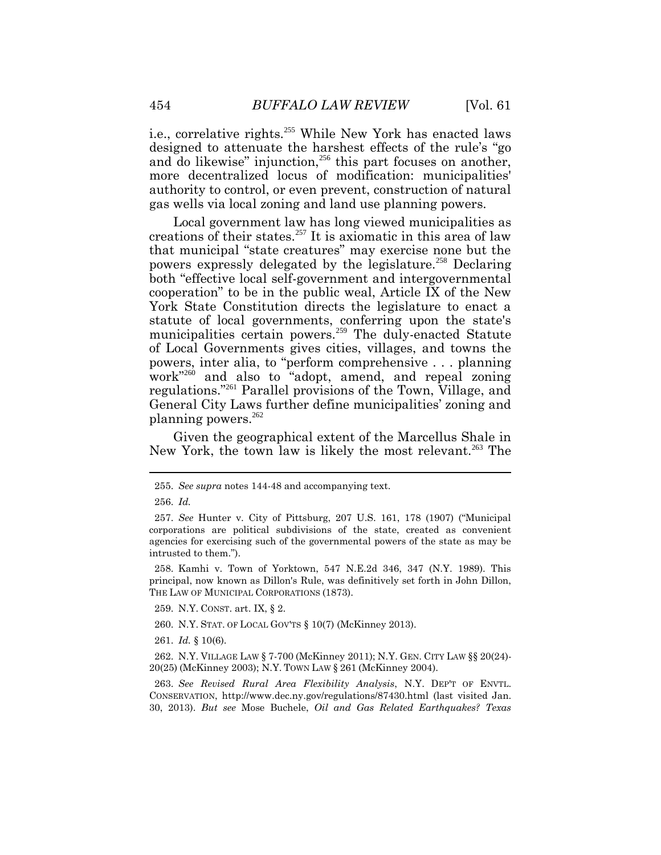i.e., correlative rights.<sup>255</sup> While New York has enacted laws designed to attenuate the harshest effects of the rule's "go and do likewise" injunction, $^{256}$  this part focuses on another, more decentralized locus of modification: municipalities' authority to control, or even prevent, construction of natural gas wells via local zoning and land use planning powers.

Local government law has long viewed municipalities as creations of their states.<sup>257</sup> It is axiomatic in this area of law that municipal "state creatures" may exercise none but the powers expressly delegated by the legislature.<sup>258</sup> Declaring both "effective local self-government and intergovernmental cooperation" to be in the public weal, Article IX of the New York State Constitution directs the legislature to enact a statute of local governments, conferring upon the state's municipalities certain powers.<sup>259</sup> The duly-enacted Statute of Local Governments gives cities, villages, and towns the powers, inter alia, to "perform comprehensive . . . planning work"<sup>260</sup> and also to "adopt, amend, and repeal zoning regulations."<sup>261</sup> Parallel provisions of the Town, Village, and General City Laws further define municipalities' zoning and planning powers.<sup>262</sup>

Given the geographical extent of the Marcellus Shale in New York, the town law is likely the most relevant.<sup>263</sup> The

258. Kamhi v. Town of Yorktown, 547 N.E.2d 346, 347 (N.Y. 1989). This principal, now known as Dillon's Rule, was definitively set forth in John Dillon, THE LAW OF MUNICIPAL CORPORATIONS (1873).

- 259. N.Y. CONST. art. IX, § 2.
- 260. N.Y. STAT. OF LOCAL GOV'TS § 10(7) (McKinney 2013).
- 261. *Id.* § 10(6).

262. N.Y. VILLAGE LAW § 7-700 (McKinney 2011); N.Y. GEN. CITY LAW §§ 20(24)- 20(25) (McKinney 2003); N.Y. TOWN LAW § 261 (McKinney 2004).

263. *See Revised Rural Area Flexibility Analysis*, N.Y. DEP'T OF ENVTL. CONSERVATION, http://www.dec.ny.gov/regulations/87430.html (last visited Jan. 30, 2013). *But see* Mose Buchele, *Oil and Gas Related Earthquakes? Texas* 

<sup>255.</sup> *See supra* notes 144-48 and accompanying text.

<sup>256.</sup> *Id.*

<sup>257.</sup> *See* Hunter v. City of Pittsburg, 207 U.S. 161, 178 (1907) ("Municipal corporations are political subdivisions of the state, created as convenient agencies for exercising such of the governmental powers of the state as may be intrusted to them.").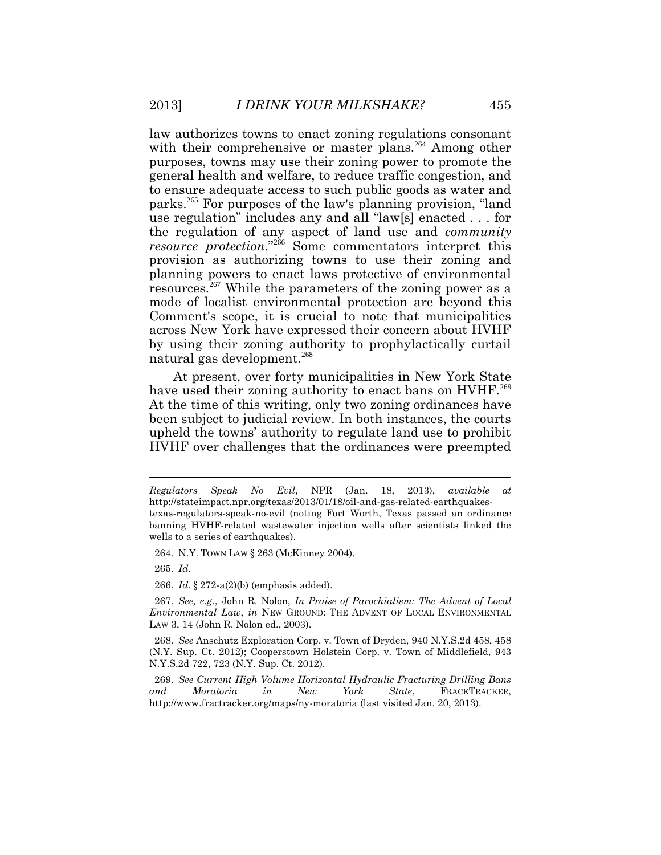law authorizes towns to enact zoning regulations consonant with their comprehensive or master plans.<sup>264</sup> Among other purposes, towns may use their zoning power to promote the general health and welfare, to reduce traffic congestion, and to ensure adequate access to such public goods as water and parks.<sup>265</sup> For purposes of the law's planning provision, "land use regulation" includes any and all "law[s] enacted . . . for the regulation of any aspect of land use and *community resource protection*."<sup>266</sup> Some commentators interpret this provision as authorizing towns to use their zoning and planning powers to enact laws protective of environmental resources.<sup>267</sup> While the parameters of the zoning power as a mode of localist environmental protection are beyond this Comment's scope, it is crucial to note that municipalities across New York have expressed their concern about HVHF by using their zoning authority to prophylactically curtail natural gas development.<sup>268</sup>

At present, over forty municipalities in New York State have used their zoning authority to enact bans on HVHF.<sup>269</sup> At the time of this writing, only two zoning ordinances have been subject to judicial review. In both instances, the courts upheld the towns' authority to regulate land use to prohibit HVHF over challenges that the ordinances were preempted

264. N.Y. TOWN LAW § 263 (McKinney 2004).

265. *Id.*

266. *Id.* § 272-a(2)(b) (emphasis added).

*Regulators Speak No Evil*, NPR (Jan. 18, 2013), *available at*  http://stateimpact.npr.org/texas/2013/01/18/oil-and-gas-related-earthquakestexas-regulators-speak-no-evil (noting Fort Worth, Texas passed an ordinance banning HVHF-related wastewater injection wells after scientists linked the wells to a series of earthquakes).

<sup>267.</sup> *See, e.g.*, John R. Nolon, *In Praise of Parochialism: The Advent of Local Environmental Law*, *in* NEW GROUND: THE ADVENT OF LOCAL ENVIRONMENTAL LAW 3, 14 (John R. Nolon ed., 2003).

<sup>268.</sup> *See* Anschutz Exploration Corp. v. Town of Dryden, 940 N.Y.S.2d 458, 458 (N.Y. Sup. Ct. 2012); Cooperstown Holstein Corp. v. Town of Middlefield, 943 N.Y.S.2d 722, 723 (N.Y. Sup. Ct. 2012).

<sup>269.</sup> *See Current High Volume Horizontal Hydraulic Fracturing Drilling Bans and Moratoria in New York State*, FRACKTRACKER, http://www.fractracker.org/maps/ny-moratoria (last visited Jan. 20, 2013).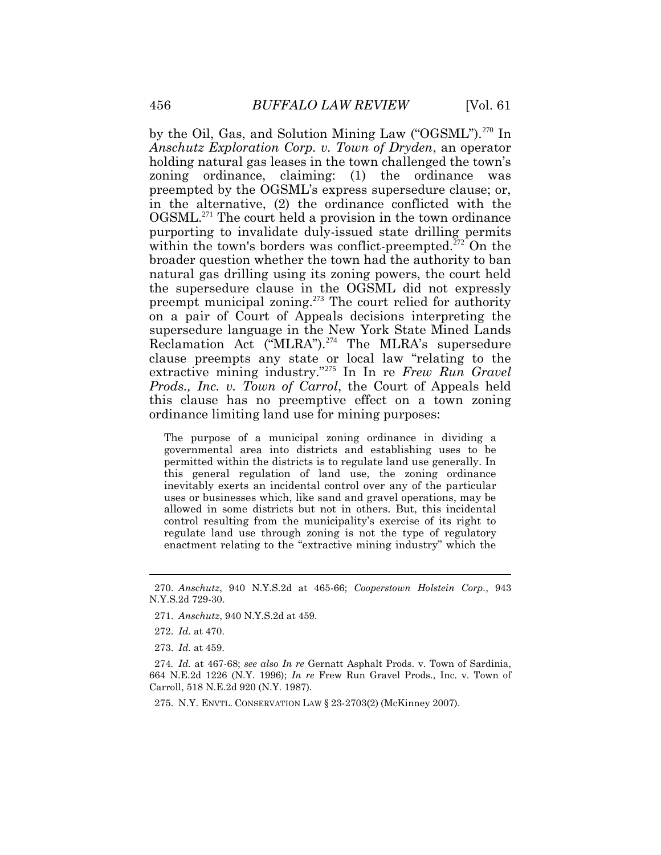by the Oil, Gas, and Solution Mining Law ("OGSML").<sup>270</sup> In *Anschutz Exploration Corp. v. Town of Dryden*, an operator holding natural gas leases in the town challenged the town's zoning ordinance, claiming: (1) the ordinance was preempted by the OGSML's express supersedure clause; or, in the alternative, (2) the ordinance conflicted with the OGSML.<sup>271</sup> The court held a provision in the town ordinance purporting to invalidate duly-issued state drilling permits within the town's borders was conflict-preempted.<sup>272</sup> On the broader question whether the town had the authority to ban natural gas drilling using its zoning powers, the court held the supersedure clause in the OGSML did not expressly preempt municipal zoning.<sup>273</sup> The court relied for authority on a pair of Court of Appeals decisions interpreting the supersedure language in the New York State Mined Lands Reclamation Act ("MLRA"). $^{274}$  The MLRA's supersedure clause preempts any state or local law "relating to the extractive mining industry."<sup>275</sup> In In re *Frew Run Gravel Prods., Inc. v. Town of Carrol*, the Court of Appeals held this clause has no preemptive effect on a town zoning ordinance limiting land use for mining purposes:

The purpose of a municipal zoning ordinance in dividing a governmental area into districts and establishing uses to be permitted within the districts is to regulate land use generally. In this general regulation of land use, the zoning ordinance inevitably exerts an incidental control over any of the particular uses or businesses which, like sand and gravel operations, may be allowed in some districts but not in others. But, this incidental control resulting from the municipality's exercise of its right to regulate land use through zoning is not the type of regulatory enactment relating to the "extractive mining industry" which the

275. N.Y. ENVTL. CONSERVATION LAW § 23-2703(2) (McKinney 2007).

<sup>270.</sup> *Anschutz*, 940 N.Y.S.2d at 465-66; *Cooperstown Holstein Corp.*, 943 N.Y.S.2d 729-30.

<sup>271.</sup> *Anschutz*, 940 N.Y.S.2d at 459.

<sup>272.</sup> *Id.* at 470.

<sup>273.</sup> *Id.* at 459.

<sup>274</sup>*. Id.* at 467-68; *see also In re* Gernatt Asphalt Prods. v. Town of Sardinia, 664 N.E.2d 1226 (N.Y. 1996); *In re* Frew Run Gravel Prods., Inc. v. Town of Carroll, 518 N.E.2d 920 (N.Y. 1987).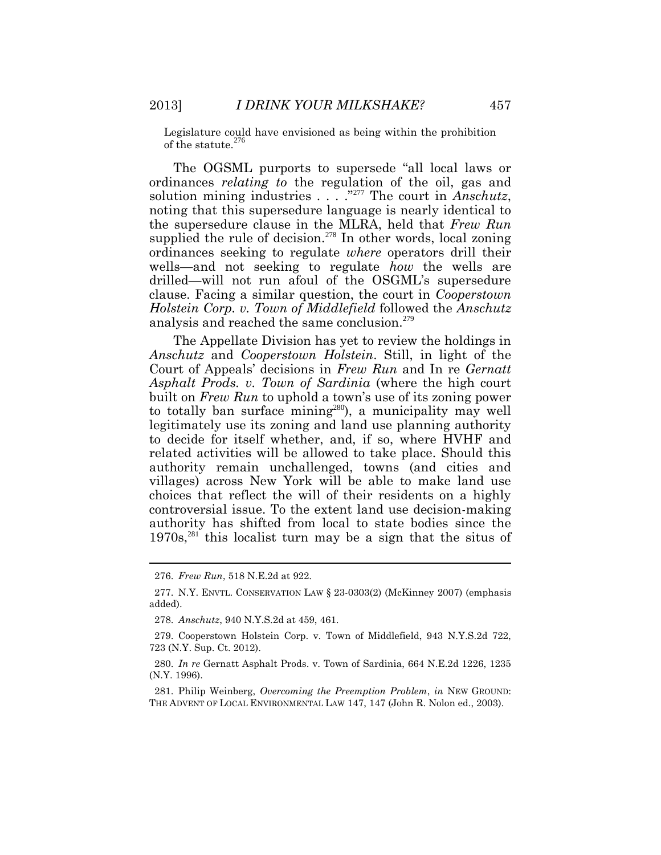Legislature could have envisioned as being within the prohibition of the statute. $^{27}$ 

The OGSML purports to supersede "all local laws or ordinances *relating to* the regulation of the oil, gas and solution mining industries . . . ."<sup>277</sup> The court in *Anschutz*, noting that this supersedure language is nearly identical to the supersedure clause in the MLRA, held that *Frew Run* supplied the rule of decision. $278$  In other words, local zoning ordinances seeking to regulate *where* operators drill their wells—and not seeking to regulate *how* the wells are drilled—will not run afoul of the OSGML's supersedure clause. Facing a similar question, the court in *Cooperstown Holstein Corp. v. Town of Middlefield* followed the *Anschutz*  analysis and reached the same conclusion.<sup>279</sup>

The Appellate Division has yet to review the holdings in *Anschutz* and *Cooperstown Holstein*. Still, in light of the Court of Appeals' decisions in *Frew Run* and In re *Gernatt Asphalt Prods. v. Town of Sardinia* (where the high court built on *Frew Run* to uphold a town's use of its zoning power to totally ban surface mining<sup>280</sup>), a municipality may well legitimately use its zoning and land use planning authority to decide for itself whether, and, if so, where HVHF and related activities will be allowed to take place. Should this authority remain unchallenged, towns (and cities and villages) across New York will be able to make land use choices that reflect the will of their residents on a highly controversial issue. To the extent land use decision-making authority has shifted from local to state bodies since the  $1970s$ ,<sup>281</sup> this localist turn may be a sign that the situs of

<sup>276.</sup> *Frew Run*, 518 N.E.2d at 922.

<sup>277.</sup> N.Y. ENVTL. CONSERVATION LAW § 23-0303(2) (McKinney 2007) (emphasis added).

<sup>278.</sup> *Anschutz*, 940 N.Y.S.2d at 459, 461.

<sup>279.</sup> Cooperstown Holstein Corp. v. Town of Middlefield, 943 N.Y.S.2d 722, 723 (N.Y. Sup. Ct. 2012).

<sup>280.</sup> *In re* Gernatt Asphalt Prods. v. Town of Sardinia, 664 N.E.2d 1226, 1235 (N.Y. 1996).

<sup>281.</sup> Philip Weinberg, *Overcoming the Preemption Problem*, *in* NEW GROUND: THE ADVENT OF LOCAL ENVIRONMENTAL LAW 147, 147 (John R. Nolon ed., 2003).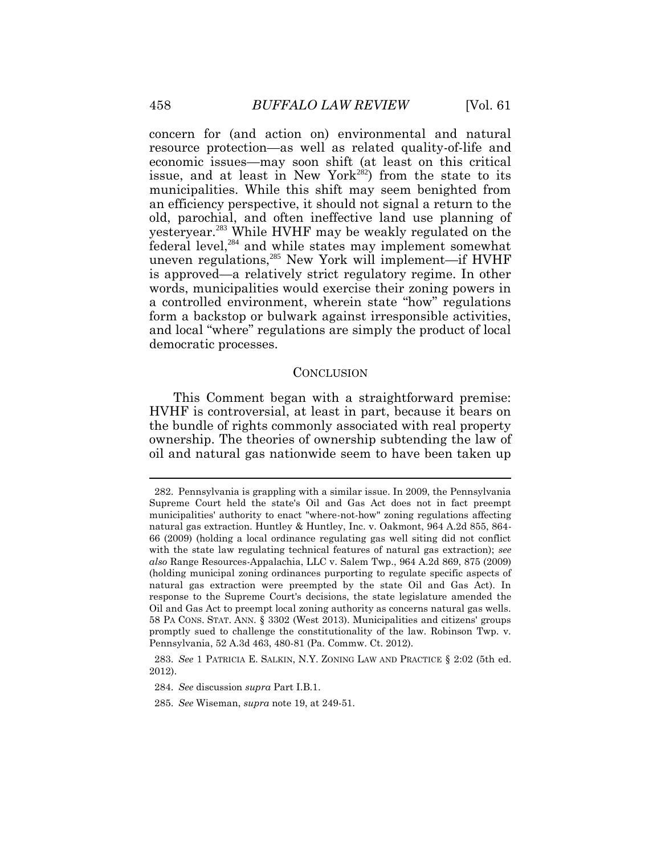concern for (and action on) environmental and natural resource protection—as well as related quality-of-life and economic issues—may soon shift (at least on this critical issue, and at least in New York<sup>282</sup>) from the state to its municipalities. While this shift may seem benighted from an efficiency perspective, it should not signal a return to the old, parochial, and often ineffective land use planning of yesteryear.<sup>283</sup> While HVHF may be weakly regulated on the federal level,<sup>284</sup> and while states may implement somewhat uneven regulations,<sup>285</sup> New York will implement—if HVHF is approved—a relatively strict regulatory regime. In other words, municipalities would exercise their zoning powers in a controlled environment, wherein state "how" regulations form a backstop or bulwark against irresponsible activities, and local "where" regulations are simply the product of local democratic processes.

#### CONCLUSION

This Comment began with a straightforward premise: HVHF is controversial, at least in part, because it bears on the bundle of rights commonly associated with real property ownership. The theories of ownership subtending the law of oil and natural gas nationwide seem to have been taken up

 $\overline{a}$ 

<sup>282.</sup> Pennsylvania is grappling with a similar issue. In 2009, the Pennsylvania Supreme Court held the state's Oil and Gas Act does not in fact preempt municipalities' authority to enact "where-not-how" zoning regulations affecting natural gas extraction. Huntley & Huntley, Inc. v. Oakmont, 964 A.2d 855, 864- 66 (2009) (holding a local ordinance regulating gas well siting did not conflict with the state law regulating technical features of natural gas extraction); *see also* Range Resources-Appalachia, LLC v. Salem Twp., 964 A.2d 869, 875 (2009) (holding municipal zoning ordinances purporting to regulate specific aspects of natural gas extraction were preempted by the state Oil and Gas Act). In response to the Supreme Court's decisions, the state legislature amended the Oil and Gas Act to preempt local zoning authority as concerns natural gas wells. 58 PA CONS. STAT. ANN. § 3302 (West 2013). Municipalities and citizens' groups promptly sued to challenge the constitutionality of the law. Robinson Twp. v. Pennsylvania, 52 A.3d 463, 480-81 (Pa. Commw. Ct. 2012).

<sup>283.</sup> *See* 1 PATRICIA E. SALKIN, N.Y. ZONING LAW AND PRACTICE § 2:02 (5th ed. 2012).

<sup>284.</sup> *See* discussion *supra* Part I.B.1.

<sup>285.</sup> *See* Wiseman, *supra* note 19, at 249-51.